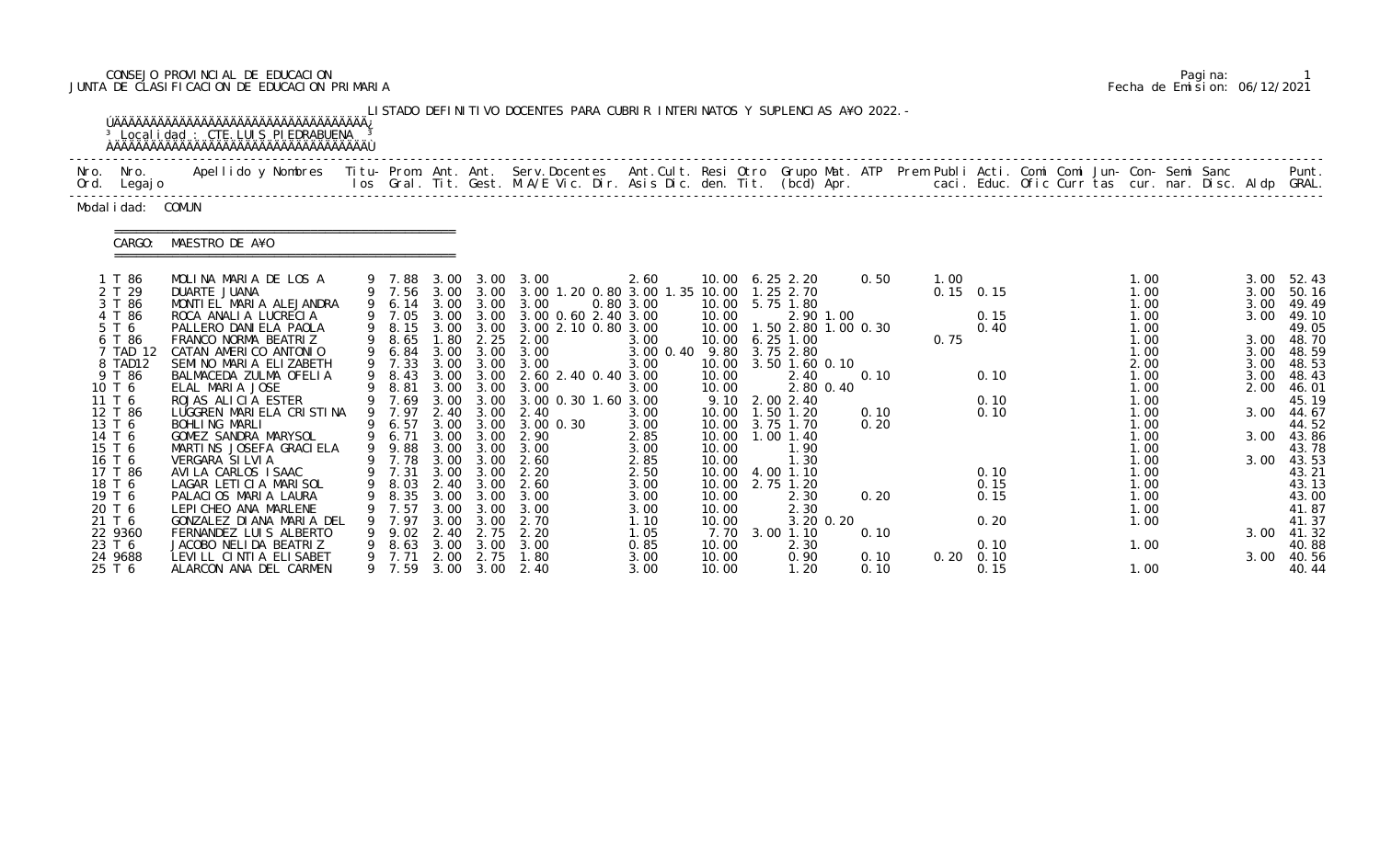# CONSEJO PROVINCIAL DE EDUCACION Pagina: 1 JUNTA DE CLASIFICACION DE EDUCACION PRIMARIA Fecha de Emision: 06/12/2021

|              |                                                                                                                                                                                                | <sup>3</sup> Local i dad : CTE. LUIS PI EDRABUENA<br><b>ÚÄÄÄÄÄÄÄÄÄÄÄÄÄÄÄÄÄÄÄÄÄÄÄÄÄÄÄÄÄÄÄÄ</b>                                                                                                                                                                                                                                                                                                                                                             |   |                                                                                                                                                                                                          |                                      |                                                                                                            | LISTADO DEFINITIVO DOCENTES PARA CUBRIR INTERINATOS Y SUPLENCIAS A¥O 2022. -                                                                                                                                                                                                                                            |                                                                                                                                       |                                                                                                         |                                                                                                                                                                                                                                                                       |                                      |              |                                                                             |                                                                                                                                                      |                                                                              |                                                                                                                                                                                   |
|--------------|------------------------------------------------------------------------------------------------------------------------------------------------------------------------------------------------|-----------------------------------------------------------------------------------------------------------------------------------------------------------------------------------------------------------------------------------------------------------------------------------------------------------------------------------------------------------------------------------------------------------------------------------------------------------|---|----------------------------------------------------------------------------------------------------------------------------------------------------------------------------------------------------------|--------------------------------------|------------------------------------------------------------------------------------------------------------|-------------------------------------------------------------------------------------------------------------------------------------------------------------------------------------------------------------------------------------------------------------------------------------------------------------------------|---------------------------------------------------------------------------------------------------------------------------------------|---------------------------------------------------------------------------------------------------------|-----------------------------------------------------------------------------------------------------------------------------------------------------------------------------------------------------------------------------------------------------------------------|--------------------------------------|--------------|-----------------------------------------------------------------------------|------------------------------------------------------------------------------------------------------------------------------------------------------|------------------------------------------------------------------------------|-----------------------------------------------------------------------------------------------------------------------------------------------------------------------------------|
| Nro.<br>Ord. | Nro.<br>Legaj o                                                                                                                                                                                | Apellido y Nombres - Titu- Prom. Ant. Ant. Serv.Docentes - Ant.Cult. Resi Otro Grupo Mat. ATP Prem Publi Acti. Comi Comi Jun- Con- Semi Sanc - - - Punt.<br>Ios Gral. Tit. Gest. M.A/E Vic. Dir. Asis Dic. den. Tit. (bcd) Apr. -                                                                                                                                                                                                                         |   |                                                                                                                                                                                                          |                                      |                                                                                                            |                                                                                                                                                                                                                                                                                                                         |                                                                                                                                       |                                                                                                         |                                                                                                                                                                                                                                                                       |                                      |              |                                                                             |                                                                                                                                                      |                                                                              |                                                                                                                                                                                   |
|              | Modal i dad: COMUN                                                                                                                                                                             |                                                                                                                                                                                                                                                                                                                                                                                                                                                           |   |                                                                                                                                                                                                          |                                      |                                                                                                            |                                                                                                                                                                                                                                                                                                                         |                                                                                                                                       |                                                                                                         |                                                                                                                                                                                                                                                                       |                                      |              |                                                                             |                                                                                                                                                      |                                                                              |                                                                                                                                                                                   |
|              | CARGO:                                                                                                                                                                                         | MAESTRO DE A¥O                                                                                                                                                                                                                                                                                                                                                                                                                                            |   |                                                                                                                                                                                                          |                                      |                                                                                                            |                                                                                                                                                                                                                                                                                                                         |                                                                                                                                       |                                                                                                         |                                                                                                                                                                                                                                                                       |                                      |              |                                                                             |                                                                                                                                                      |                                                                              |                                                                                                                                                                                   |
|              | 1 T 86<br>2 T 29<br>3 T 86<br>4 T 86<br>5 T 6<br>6 T 86<br>7 TAD 12<br>8 TAD12<br>9 T 86<br>10 T 6<br>11 T 6<br>12 T 86<br>13 T 6<br>14 T 6<br>15 T 6<br>16 T 6<br>17 T 86<br>18 T 6<br>19 T 6 | MOLINA MARIA DE LOS A<br>DUARTE JUANA<br>MONTIEL MARIA ALEJANDRA<br>ROCA ANALIA LUCRECIA<br>PALLERO DANIELA PAOLA<br>FRANCO NORMA BEATRIZ<br>CATAN AMERICO ANTONIO<br>SEMINO MARIA ELIZABETH<br>BALMACEDA ZULMA OFELIA<br>ELAL MARIA JOSE<br>ROJAS ALICIA ESTER<br>LUGGREN MARIELA CRISTINA<br>BOHLING MARLI<br>GOMEZ SANDRA MARYSOL<br>MARTINS JOSEFA GRACI ELA<br>VERGARA SILVIA<br>AVILA CARLOS ISAAC<br>LAGAR LETICIA MARISOL<br>PALACIOS MARIA LAURA | 9 | 9 7.88 3.00 3.00<br>9 7.56 3.00 3.00<br>9 6.14<br>9 7.05<br>9 8.15<br>9 8.65<br>$9\quad 6.84$<br>$9\quad 7.33$<br>8.43<br>8.81<br>9 7.69<br>9 7.97<br>6.57<br>6.71<br>9 9.88<br>9 7.78<br>9 7.31<br>8.35 | 1.80<br>3.00<br>3.00<br>3.00<br>3.00 | 3.00 3.00<br>3.00 3.00<br>3.00 3.00<br>3.00<br>3.00 3.00<br>2.40 3.00<br>3.00<br>3.00 3.00<br>3.00<br>3.00 | 3.00<br>3.00 1.20 0.80 3.00 1.35 10.00<br>3.00<br>3.00 3.00 3.00 0.60 2.40 3.00<br>3.00 2.10 0.80 3.00<br>2.25 2.00<br>3.00<br>3.00<br>3.00 3.00 2.60 2.40 0.40 3.00<br>3.00 3.00 3.00<br>3.00 0.30 1.60 3.00<br>2.40<br>3.00 3.00 3.00 0.30<br>2.90<br>3.00 3.00 3.00<br>2.60<br>2.20<br>9 8.03 2.40 3.00 2.60<br>3.00 | 2.60<br>0.80 3.00<br>3.00<br>3.00 0.40 9.80 3.75 2.80<br>3.00<br>3.00<br>3.00<br>3.00<br>2.85<br>3.00<br>2.85<br>2.50<br>3.00<br>3.00 | 10.00<br>10.00<br>10.00<br>10.00<br>10.00<br>10.00<br>9.10<br>10.00<br>10.00<br>10.00<br>10.00<br>10.00 | 10.00 6.25 2.20<br>1.25 2.70<br>10.00 5.75 1.80<br>2.90 1.00<br>1.50 2.80 1.00 0.30<br>$6.25$ 1.00<br>3.50 1.60 0.10<br>2.40<br>2.80 0.40<br>2.00 2.40<br>1.50 1.20<br>10.00 3.75 1.70<br>$1.00$ $1.40$<br>1.90<br>1.30<br>10.00 4.00 1.10<br>10.00 2.75 1.20<br>2.30 | 0.50<br>0.10<br>0.10<br>0.20<br>0.20 | 1.00<br>0.75 | $0.15$ 0.15<br>0.15<br>0.40<br>0.10<br>0.10<br>0.10<br>0.10<br>0.15<br>0.15 | 1.00<br>1.00<br>1.00<br>1.00<br>1.00<br>1.00<br>1.00<br>2.00<br>1.00<br>1.00<br>1.00<br>1.00<br>1.00<br>1.00<br>1.00<br>1.00<br>1.00<br>1.00<br>1.00 | 3.00<br>3.00<br>3.00<br>3.00<br>3.00<br>3.00<br>2.00<br>3.00<br>3.00<br>3.00 | 52.43<br>50.16<br>49.49<br>49.10<br>49.05<br>3.00 48.70<br>3.00 48.59<br>48.53<br>48.43<br>46.01<br>45.19<br>44.67<br>44.52<br>43.86<br>43.78<br>43.53<br>43.21<br>43.13<br>43.00 |
|              | 20 T 6<br>21 T 6<br>22 9360<br>23 T 6<br>24 9688<br>25 T 6                                                                                                                                     | LEPICHEO ANA MARLENE<br>GONZALEZ DI ANA MARIA DEL<br>FERNANDEZ LUIS ALBERTO<br>JACOBO NELIDA BEATRIZ<br>LEVILL CINTIA ELISABET<br>ALARCON ANA DEL CARMEN                                                                                                                                                                                                                                                                                                  | 9 | 7.57<br>7.97<br>9.02<br>8.63<br>9 7.71<br>9 7.59                                                                                                                                                         | 3.00<br>3.00<br>2.40<br>3.00         | 3.00<br>3.00<br>2.75<br>3.00<br>2.00 2.75                                                                  | 3.00<br>2.70<br>2.20<br>3.00<br>1.80<br>3.00 3.00 2.40                                                                                                                                                                                                                                                                  | 3.00<br>1.10<br>1.05<br>0.85<br>3.00<br>3.00                                                                                          | 10.00<br>10.00<br>7.70<br>10.00<br>10.00<br>10.00                                                       | 2.30<br>3.20 0.20<br>3.00 1.10<br>2.30<br>0.90<br>1.20                                                                                                                                                                                                                | 0.10<br>0.10<br>0.10                 |              | 0.20<br>0.10<br>$0.20 \quad 0.10$<br>0.15                                   | 1.00<br>1.00<br>1.00<br>1.00                                                                                                                         | 3.00<br>3.00                                                                 | 41.87<br>41.37<br>41.32<br>40.88<br>40.56<br>40.44                                                                                                                                |

|  | Pagi na: |                              |
|--|----------|------------------------------|
|  |          | Fecha de Emision: 06/12/2021 |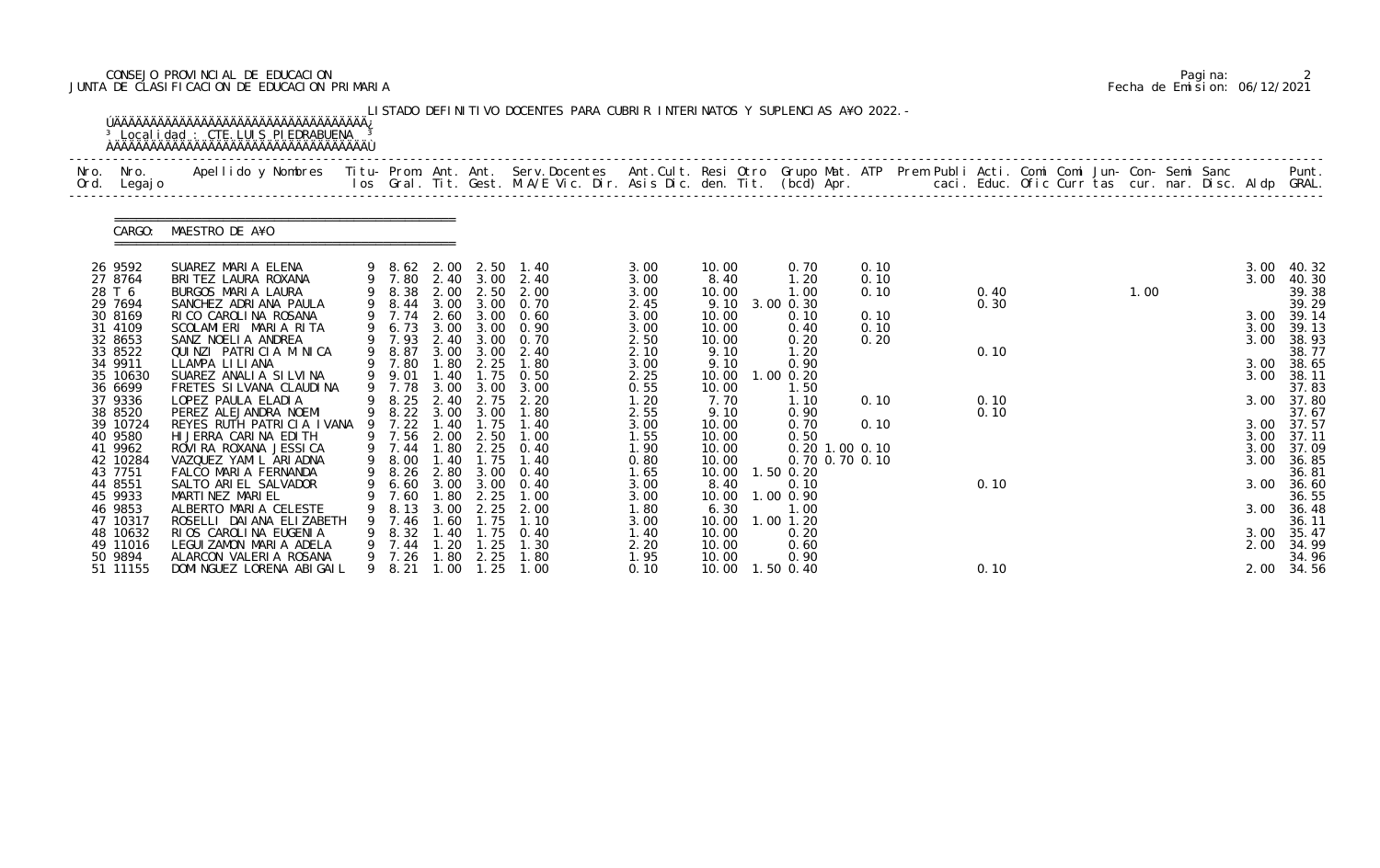# CONSEJO PROVINCIAL DE EDUCACION Pagina: 2 JUNTA DE CLASIFICACION DE EDUCACION PRIMARIA Fecha de Emision: 06/12/2021

|              |                                                                                                                                                                                                                                                               | <sup>3</sup> Local i dad : CTE. LUIS PI EDRABUENA                                                                                                                                                                                                                                                                                                                                                                                                                                                                                                                        |   |                                                                                                                                                                                                                                      |                                                                                                                     |                                                                                                                                              | LISTADO DEFINITIVO DOCENTES PARA CUBRIR INTERINATOS Y SUPLENCIAS A¥O 2022. -                                                                                                                                                    |                                                                                                                                                                                      |                                                                                                                                                                                            |                                                                                                                                                                                                                                               |                                                              |                                              |  |      |  |                                                                                              |                                                                                                                                                                                                                            |
|--------------|---------------------------------------------------------------------------------------------------------------------------------------------------------------------------------------------------------------------------------------------------------------|--------------------------------------------------------------------------------------------------------------------------------------------------------------------------------------------------------------------------------------------------------------------------------------------------------------------------------------------------------------------------------------------------------------------------------------------------------------------------------------------------------------------------------------------------------------------------|---|--------------------------------------------------------------------------------------------------------------------------------------------------------------------------------------------------------------------------------------|---------------------------------------------------------------------------------------------------------------------|----------------------------------------------------------------------------------------------------------------------------------------------|---------------------------------------------------------------------------------------------------------------------------------------------------------------------------------------------------------------------------------|--------------------------------------------------------------------------------------------------------------------------------------------------------------------------------------|--------------------------------------------------------------------------------------------------------------------------------------------------------------------------------------------|-----------------------------------------------------------------------------------------------------------------------------------------------------------------------------------------------------------------------------------------------|--------------------------------------------------------------|----------------------------------------------|--|------|--|----------------------------------------------------------------------------------------------|----------------------------------------------------------------------------------------------------------------------------------------------------------------------------------------------------------------------------|
| Nro.<br>Ord. | Nro.<br>Legaj o                                                                                                                                                                                                                                               | Apellido y Nombres - Titu- Prom. Ant. Ant. Serv.Docentes - Ant.Cult. Resi Otro Grupo Mat. ATP Prem Publi Acti. Comi Comi Jun- Con- Semi Sanc - - - Punt.<br>Ios Gral. Tit. Gest. M.A/E Vic. Dir. Asis Dic. den. Tit. (bcd) Apr. -                                                                                                                                                                                                                                                                                                                                        |   |                                                                                                                                                                                                                                      |                                                                                                                     |                                                                                                                                              |                                                                                                                                                                                                                                 |                                                                                                                                                                                      |                                                                                                                                                                                            |                                                                                                                                                                                                                                               |                                                              |                                              |  |      |  |                                                                                              |                                                                                                                                                                                                                            |
|              | CARGO:                                                                                                                                                                                                                                                        | MAESTRO DE A¥O                                                                                                                                                                                                                                                                                                                                                                                                                                                                                                                                                           |   |                                                                                                                                                                                                                                      |                                                                                                                     |                                                                                                                                              |                                                                                                                                                                                                                                 |                                                                                                                                                                                      |                                                                                                                                                                                            |                                                                                                                                                                                                                                               |                                                              |                                              |  |      |  |                                                                                              |                                                                                                                                                                                                                            |
|              | 26 9592<br>27 8764<br>28 T 6<br>29 7694<br>30 8169<br>31 4109<br>32 8653<br>33 8522<br>34 9911<br>35 10630<br>36 6699<br>37 9336<br>38 8520<br>39 10724<br>40 9580<br>41 9962<br>42 10284<br>43 7751<br>44 8551<br>45 9933<br>46 9853<br>47 10317<br>48 10632 | SUAREZ MARIA ELENA<br>BRITEZ LAURA ROXANA<br>BURGOS MARIA LAURA<br>SANCHEZ ADRIANA PAULA<br>RICO CAROLINA ROSANA<br>SCOLAMIERI MARIA RITA<br>SANZ NOELIA ANDREA<br>QUINZI PATRICIA M NICA<br>LLAMPA LILIANA<br>SUAREZ ANALIA SILVINA<br>FRETES SILVANA CLAUDINA<br>LOPEZ PAULA ELADIA<br>PEREZ ALEJANDRA NOEMI<br>REYES RUTH PATRICIA IVANA<br>HI JERRA CARINA EDITH<br>ROVIRA ROXANA JESSICA<br>VAZQUEZ YAMIL ARIADNA<br>FALCO MARIA FERNANDA<br>SALTO ARIEL SALVADOR<br>MARTINEZ MARIEL<br>ALBERTO MARIA CELESTE<br>ROSELLI DAI ANA ELIZABETH<br>RIOS CAROLINA EUGENIA | 9 | 9 8.62 2.00 2.50<br>9 7.80<br>9 8.38<br>9 8.44<br>9 7.74<br>6.73<br>9 7.93<br>9 8.87<br>7.80<br>9 9.01<br>9 7.78<br>8.25<br>9 8.22 3.00 3.00<br>9 7.22<br>7.56<br>9 7.44<br>8.00<br>9 8.26 2.80 3.00<br>7.60<br>8.13<br>7.46<br>8.32 | 2.00<br>3.00<br>3.00<br>2.40<br>1.80<br>1.40<br>2.40<br>1.40<br>2.00<br>1.80<br>1.40<br>1.80<br>3.00<br>-60<br>1.40 | 2.40 3.00<br>2.50<br>3.00<br>3.00<br>3.00 3.00<br>2.25<br>1.75<br>3.00 3.00<br>2.75<br>1.75<br>2.50<br>1.75<br>2.25<br>2.25<br>. 75<br>l. 75 | 1.40<br>2.40<br>2.00<br>3.00 0.70<br>2.60 3.00 0.60<br>0.90<br>0.70<br>2.40<br>1.80<br>0. 50<br>3.00<br>2.20<br>1.80<br>1.40<br>1.00<br>$2.25 \t 0.40$<br>1.40<br>0.40<br>9 6.60 3.00 3.00 0.40<br>1.00<br>2.00<br>1.10<br>0.40 | 3.00<br>3.00<br>3.00<br>2.45<br>3.00<br>3.00<br>2.50<br>2.10<br>3.00<br>2.25<br>0.55<br>1.20<br>2.55<br>3.00<br>1.55<br>1.90<br>0.80<br>1.65<br>3.00<br>3.00<br>1.80<br>3.00<br>1.40 | 10.00<br>8.40<br>10.00<br>9.10<br>10.00<br>10.00<br>10.00<br>9.10<br>9.10<br>10.00<br>10.00<br>7.70<br>9.10<br>10.00<br>10.00<br>10.00<br>10.00<br>8.40<br>10.00<br>6.30<br>10.00<br>10.00 | 0.70<br>1.20<br>1.00<br>3.00 0.30<br>0.10<br>0.40<br>0.20<br>1.20<br>0.90<br>$1.00$ $0.20$<br>1.50<br>1.10<br>0.90<br>0.70<br>0.50<br>0.20 1.00 0.10<br>0.70 0.70 0.10<br>10.00  1.50  0.20<br>0.10<br>1.00 0.90<br>1.00<br>1.00 1.20<br>0.20 | 0.10<br>0.10<br>0.10<br>0.10<br>0.10<br>0.20<br>0.10<br>0.10 | 0.40<br>0.30<br>0.10<br>0.10<br>0.10<br>0.10 |  | 1.00 |  | 3.00<br>3.00<br>3.00<br>3.00<br>3.00<br>3.00<br>3.00<br>3.00<br>3.00<br>3.00<br>3.00<br>3.00 | 40.32<br>40.30<br>39.38<br>39.29<br>39.14<br>39.13<br>38.93<br>38.77<br>38.65<br>38.11<br>37.83<br>37.80<br>37.67<br>3.00 37.57<br>37.11<br>37.09<br>36.85<br>36.81<br>3.00 36.60<br>36.55<br>3.00 36.48<br>36.11<br>35.47 |
|              | 49 11016<br>50 9894<br>51 11155                                                                                                                                                                                                                               | LEGUIZAMON MARIA ADELA<br>ALARCON VALERIA ROSANA<br>DOMINGUEZ LORENA ABIGAIL                                                                                                                                                                                                                                                                                                                                                                                                                                                                                             |   | 7.44<br>9 7.26<br>8. 21                                                                                                                                                                                                              | -20<br>. 80<br>1.00                                                                                                 | . 25<br>2.25<br>1.25                                                                                                                         | 1. 30<br>1.80<br>1.00                                                                                                                                                                                                           | 2.20<br>1.95<br>0.10                                                                                                                                                                 | 10.00<br>10.00<br>10.00                                                                                                                                                                    | 0.60<br>0.90<br>1.50 0.40                                                                                                                                                                                                                     |                                                              | 0.10                                         |  |      |  | 2.00                                                                                         | 34.99<br>34.96<br>2.00 34.56                                                                                                                                                                                               |

|  | Pagi na: |                              |
|--|----------|------------------------------|
|  |          | Fecha de Emision: 06/12/2021 |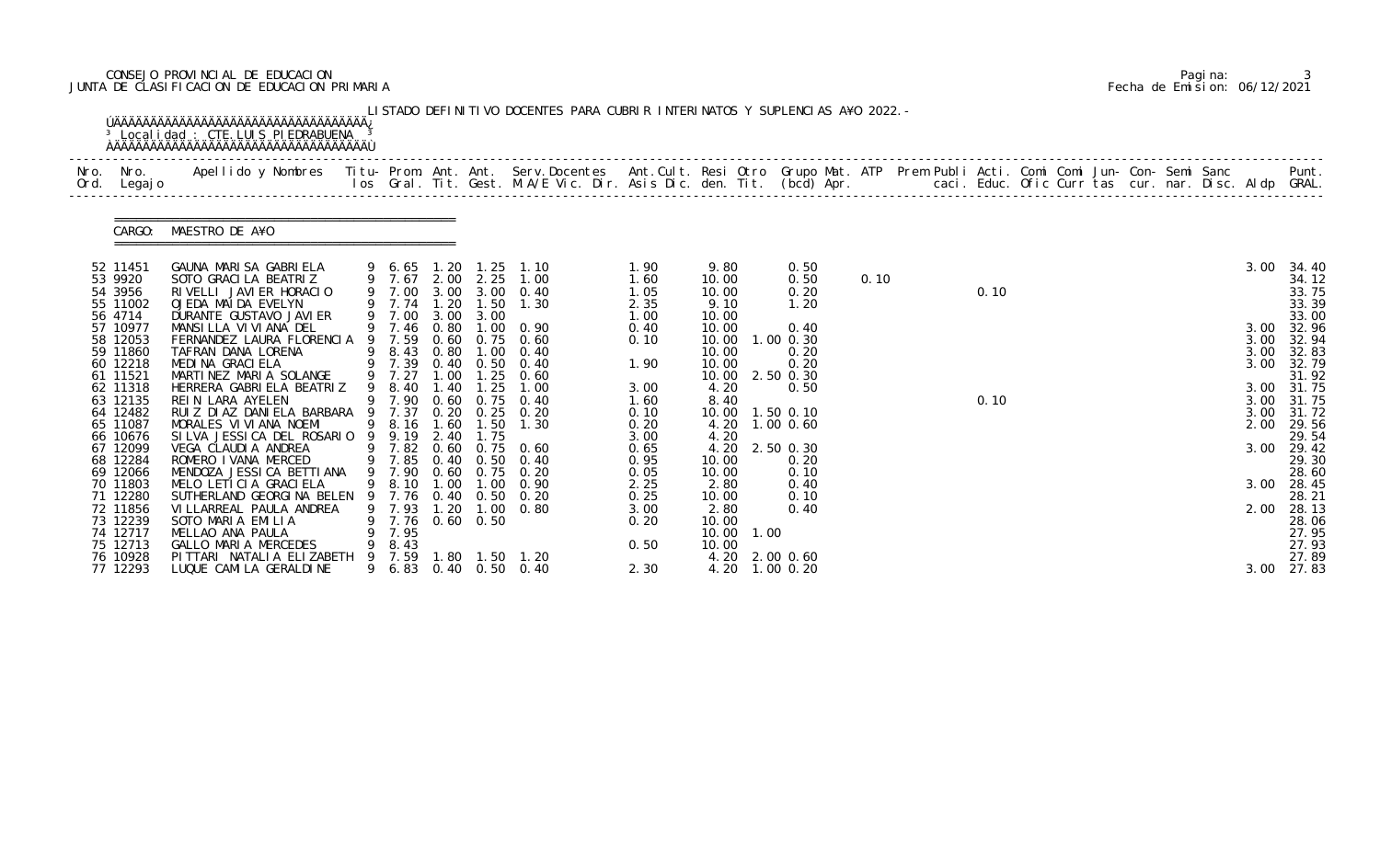# CONSEJO PROVINCIAL DE EDUCACION Pagina: 3 JUNTA DE CLASIFICACION DE EDUCACION PRIMARIA Fecha de Emision: 06/12/2021

| Nro. | Nro.<br>Ord. Legajo                                                  | Apellido y Nombres - Titu- Prom. Ant. Ant. Serv.Docentes - Ant.Cult. Resi Otro Grupo Mat. ATP Prem Publi Acti. Comi Comi Jun- Con- Semi Sanc - - - Punt.<br>Ios Gral. Tit. Gest. M.A/E Vic. Dir. Asis Dic. den. Tit. (bcd) Apr. - |                                                                     |                              |                   |                                                                                                          |                                      |                                           |                                                |      |  |      |  |  |  |                              |                                                    |
|------|----------------------------------------------------------------------|-----------------------------------------------------------------------------------------------------------------------------------------------------------------------------------------------------------------------------------|---------------------------------------------------------------------|------------------------------|-------------------|----------------------------------------------------------------------------------------------------------|--------------------------------------|-------------------------------------------|------------------------------------------------|------|--|------|--|--|--|------------------------------|----------------------------------------------------|
|      |                                                                      | CARGO: MAESTRO DE A¥O                                                                                                                                                                                                             |                                                                     |                              |                   |                                                                                                          |                                      |                                           |                                                |      |  |      |  |  |  |                              |                                                    |
|      | 52 11451<br>53 9920<br>54 3956<br>55 11002<br>56 4714                | GAUNA MARISA GABRIELA<br>SOTO GRACILA BEATRIZ<br>RIVELLI JAVIER HORACIO<br>OJEDA MAIDA EVELYN<br>DURANTE GUSTAVO JAVI ER                                                                                                          | 9 7.74 1.20<br>9 7.00                                               |                              | 1.50<br>3.00 3.00 | 1.25 1.10<br>2.00 2.25 1.00<br>3.00 3.00 0.40<br>1.30                                                    | 1.90<br>1.60<br>1.05<br>2.35<br>1.00 | 9.80<br>10.00<br>10.00<br>9.10<br>10.00   | 0.50<br>0.50<br>0.20<br>1.20                   | 0.10 |  | 0.10 |  |  |  | 3.00                         | 34.40<br>34.12<br>33.75<br>33.39<br>33.00          |
|      | 57 10977<br>58 12053<br>59 11860<br>60 12218<br>61 11521             | MANSILLA VIVIANA DEL<br>FERNANDEZ LAURA FLORENCIA 9 7.59<br>TAFRAN DANA LORENA<br>MEDINA GRACIELA<br>MARTINEZ MARIA SOLANGE                                                                                                       | 9 7.46<br>9 8.43<br>9 7.39<br>9 7.27                                | 0.80<br>0.80<br>0.40<br>1.00 | 1.00<br>0.50      | $1.00 \quad 0.90$<br>0.60 0.75 0.60<br>0.40<br>0.40<br>$1.25 \quad 0.60$                                 | 0.40<br>0.10<br>1.90                 | 10.00<br>10.00<br>10.00<br>10.00<br>10.00 | 0.40<br>1.00 0.30<br>0.20<br>0.20<br>2.50 0.30 |      |  |      |  |  |  | 3.00<br>3.00<br>3.00<br>3.00 | 32.96<br>32.94<br>32.83<br>32.79<br>31.92          |
|      | 62 11318<br>63 12135<br>64 12482<br>65 11087<br>66 10676             | HERRERA GABRIELA BEATRIZ<br>REIN LARA AYELEN<br>RUIZ DIAZ DANIELA BARBARA 9 7.37<br>MORALES VI VI ANA NOEMI<br>SILVA JESSICA DEL ROSARIO                                                                                          | 9 8.40<br>9 7.90<br>9 8.16<br>9 9.19 2.40                           | 1.40                         | 1.25<br>1.75      | 1.00<br>0.60 0.75 0.40<br>0.20 0.25 0.20<br>1.60 1.50 1.30                                               | 3.00<br>1.60<br>0.10<br>0.20<br>3.00 | 4.20<br>8.40<br>4.20<br>4.20              | 0.50<br>10.00  1.50  0.10<br>$1.00$ $0.60$     |      |  | 0.10 |  |  |  | 3.00<br>3.00<br>3.00<br>2.00 | 31.75<br>31.75<br>31.72<br>29.56<br>29.54          |
|      | 67 12099<br>68 12284<br>69 12066<br>70 11803<br>71 12280             | VEGA CLAUDIA ANDREA<br>ROMERO I VANA MERCED<br>MENDOZA JESSICA BETTIANA<br>MELO LETICIA GRACIELA<br>SUTHERLAND GEORGINA BELEN 9 7.76 0.40 0.50                                                                                    |                                                                     |                              |                   | 9 7.82 0.60 0.75 0.60<br>9 7.85 0.40 0.50 0.40<br>9 7.90 0.60 0.75 0.20<br>9 8.10 1.00 1.00 0.90<br>0.20 | 0.65<br>0.95<br>0.05<br>2.25<br>0.25 | 4.20<br>10.00<br>10.00<br>2.80<br>10.00   | 2.50 0.30<br>0.20<br>0.10<br>0.40<br>0.10      |      |  |      |  |  |  | 3.00                         | 29.42<br>29.30<br>28.60<br>3.00 28.45<br>28.21     |
|      | 72 11856<br>73 12239<br>74 12717<br>75 12713<br>76 10928<br>77 12293 | VI LLARREAL PAULA ANDREA<br>SOTO MARIA EMILIA<br>MELLAO ANA PAULA<br>GALLO MARIA MERCEDES<br>PITTARI NATALIA ELIZABETH<br>LUQUE CAMI LA GERALDI NE                                                                                | 9 7.93 1.20<br>9 7.76 0.60 0.50<br>7.95<br>8.43<br>9 7.59<br>9 6.83 |                              |                   | $1.00 \quad 0.80$<br>1.80  1.50  1.20<br>0.40 0.50 0.40                                                  | 3.00<br>0.20<br>0.50<br>2.30         | 2.80<br>10.00<br>10.00 1.00<br>10.00      | 0.40<br>4.20 2.00 0.60<br>4.20 1.00 0.20       |      |  |      |  |  |  | 2.00<br>3.00                 | 28.13<br>28.06<br>27.95<br>27.93<br>27.89<br>27.83 |

|  | Pagi na: |                              |
|--|----------|------------------------------|
|  |          | Fecha de Emision: 06/12/2021 |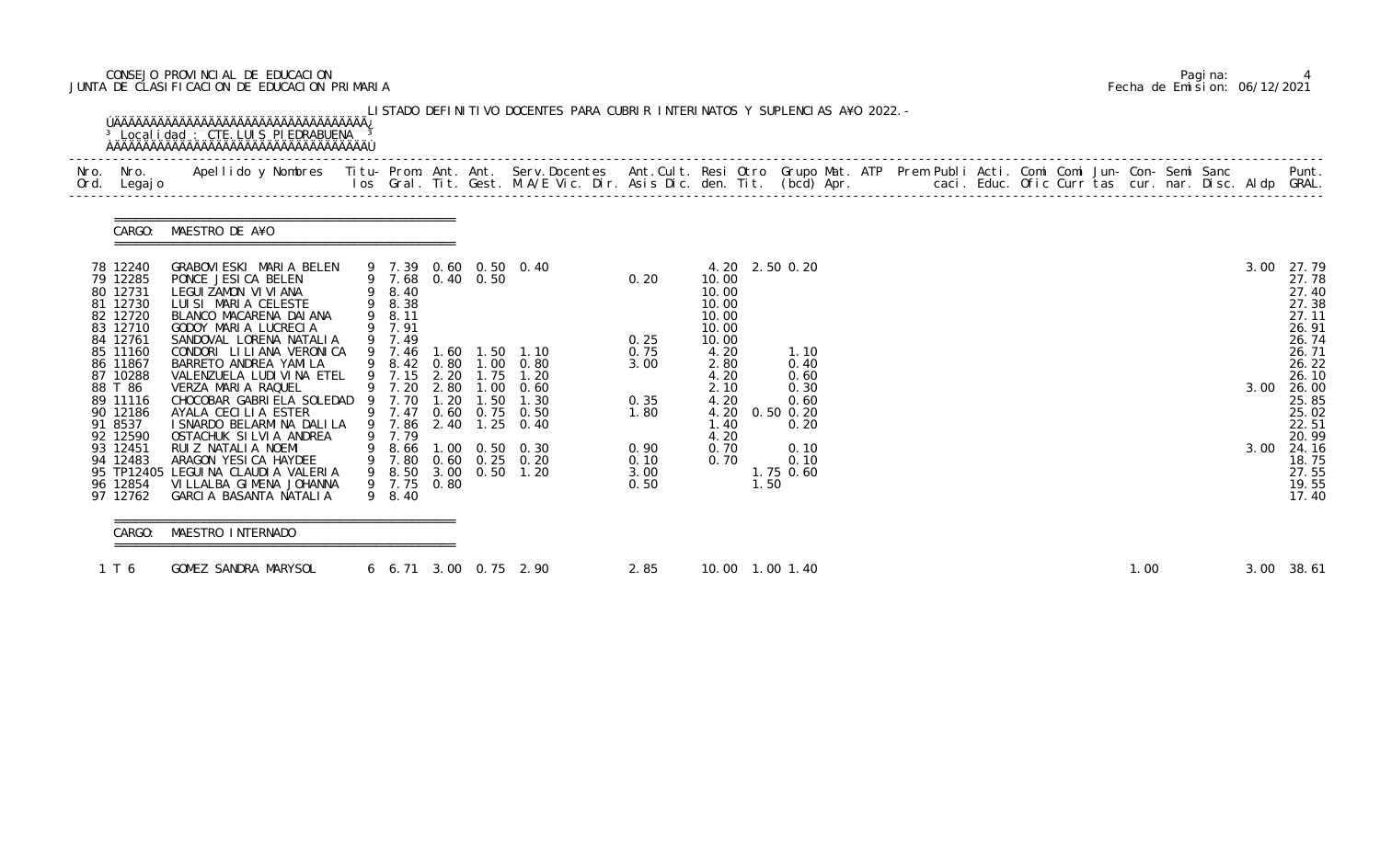# CONSEJO PROVINCIAL DE EDUCACION Pagina: 4 JUNTA DE CLASIFICACION DE EDUCACION PRIMARIA Fecha de Emision: 06/12/2021

| Nro. Nro.<br>Ord. Legajo                                            | Apellido y Nombres  Titu- Prom. Ant. Ant. Serv.Docentes  Ant.Cult. Resi Otro Grupo Mat. ATP Prem Publi Acti. Comi Comi Jun- Con- Semi Sanc           Punt.<br>Ios Gral. Tit. Gest. M.A/E Vic. Dir. Asis Dic. den. Tit. (bcd) Apr. |                                           |                  |                                                                       |                              |                                                |      |                                |  |  |  |      |  |      |                                                    |
|---------------------------------------------------------------------|-----------------------------------------------------------------------------------------------------------------------------------------------------------------------------------------------------------------------------------|-------------------------------------------|------------------|-----------------------------------------------------------------------|------------------------------|------------------------------------------------|------|--------------------------------|--|--|--|------|--|------|----------------------------------------------------|
|                                                                     | CARGO: MAESTRO DE A¥O                                                                                                                                                                                                             |                                           |                  |                                                                       |                              |                                                |      |                                |  |  |  |      |  |      |                                                    |
| 78 12240<br>79 12285<br>80 12731<br>81 12730<br>82 12720            | GRABOVIESKI MARIA BELEN<br>PONCE JESICA BELEN<br>LEGUI ZAMON VI VI ANA<br>LUISI MARIA CELESTE<br>BLANCO MACARENA DAI ANA                                                                                                          | 9 8.40<br>9 8.38<br>9 8.11                | 9 7.68 0.40 0.50 | 9 7.39 0.60 0.50 0.40                                                 | 0.20                         | 10.00<br>10.00<br>10.00<br>10.00               |      | 4.20 2.50 0.20                 |  |  |  |      |  | 3.00 | 27.79<br>27.78<br>27.40<br>27.38<br>27.11          |
| 83 12710<br>84 12761<br>85 11160<br>86 11867<br>87 10288<br>88 T 86 | GODOY MARIA LUCRECIA<br>SANDOVAL LORENA NATALIA<br>CONDORI LILIANA VERONICA<br>BARRETO ANDREA YAMILA<br>VALENZUELA LUDI VI NA ETEL                                                                                                | 9 7.91<br>9 7.49<br>9 7.46<br>9 7.15 2.20 | 1.75             | 1.60  1.50  1.10<br>9 8.42 0.80 1.00 0.80<br>1.20                     | 0.25<br>0.75<br>3.00         | 10.00<br>10.00<br>4.20<br>2.80<br>4.20<br>2.10 |      | 1.10<br>0.40<br>0.60<br>0.30   |  |  |  |      |  | 3.00 | 26.91<br>26.74<br>26.71<br>26.22<br>26.10<br>26.00 |
| 89 11116<br>90 12186<br>91 8537<br>92 12590                         | VERZA MARIA RAQUEL 9 7.20 2.80 1.00 0.60<br>CHOCOBAR GABRIELA SOLEDAD 9 7.70 1.20 1.50 1.30<br>AYALA CECILIA ESTER<br>I SNARDO BELARMI NA DALI LA<br>OSTACHUK SILVIA ANDREA                                                       | 9 7.86<br>9 7.79                          |                  | 9 7.47 0.60 0.75 0.50<br>2.40 1.25 0.40                               | 0.35<br>1.80                 | 4.20<br>1.40<br>4.20                           |      | 0.60<br>4.20 0.50 0.20<br>0.20 |  |  |  |      |  |      | 25.85<br>25.02<br>22.51<br>20.99                   |
| 93 12451<br>94 12483<br>96 12854                                    | RUIZ NATALIA NOEMI<br>ARAGON YESICA HAYDEE<br>95 TP12405 LEGUINA CLAUDIA VALERIA<br>VI LLALBA GI MENA JOHANNA<br>97 12762 GARCIA BASANTA NATALIA                                                                                  | 9 7.75 0.80<br>9 8.40                     |                  | 8.66 1.00 0.50 0.30<br>9 7.80 0.60 0.25 0.20<br>9 8.50 3.00 0.50 1.20 | 0.90<br>0.10<br>3.00<br>0.50 | 0.70<br>0.70                                   | 1.50 | 0.10<br>0.10<br>1.75 0.60      |  |  |  |      |  | 3.00 | 24.16<br>18.75<br>27.55<br>19.55<br>17.40          |
| CARGO:                                                              | MAESTRO INTERNADO                                                                                                                                                                                                                 |                                           |                  |                                                                       |                              |                                                |      |                                |  |  |  |      |  |      |                                                    |
| 1 T 6                                                               | GOMEZ SANDRA MARYSOL                                                                                                                                                                                                              |                                           |                  | 6 6.71 3.00 0.75 2.90                                                 | 2.85                         |                                                |      | 10.00  1.00  1.40              |  |  |  | 1.00 |  |      | 3.00 38.61                                         |

|  | Pagi na: |                              |
|--|----------|------------------------------|
|  |          | Fecha de Emision: 06/12/2021 |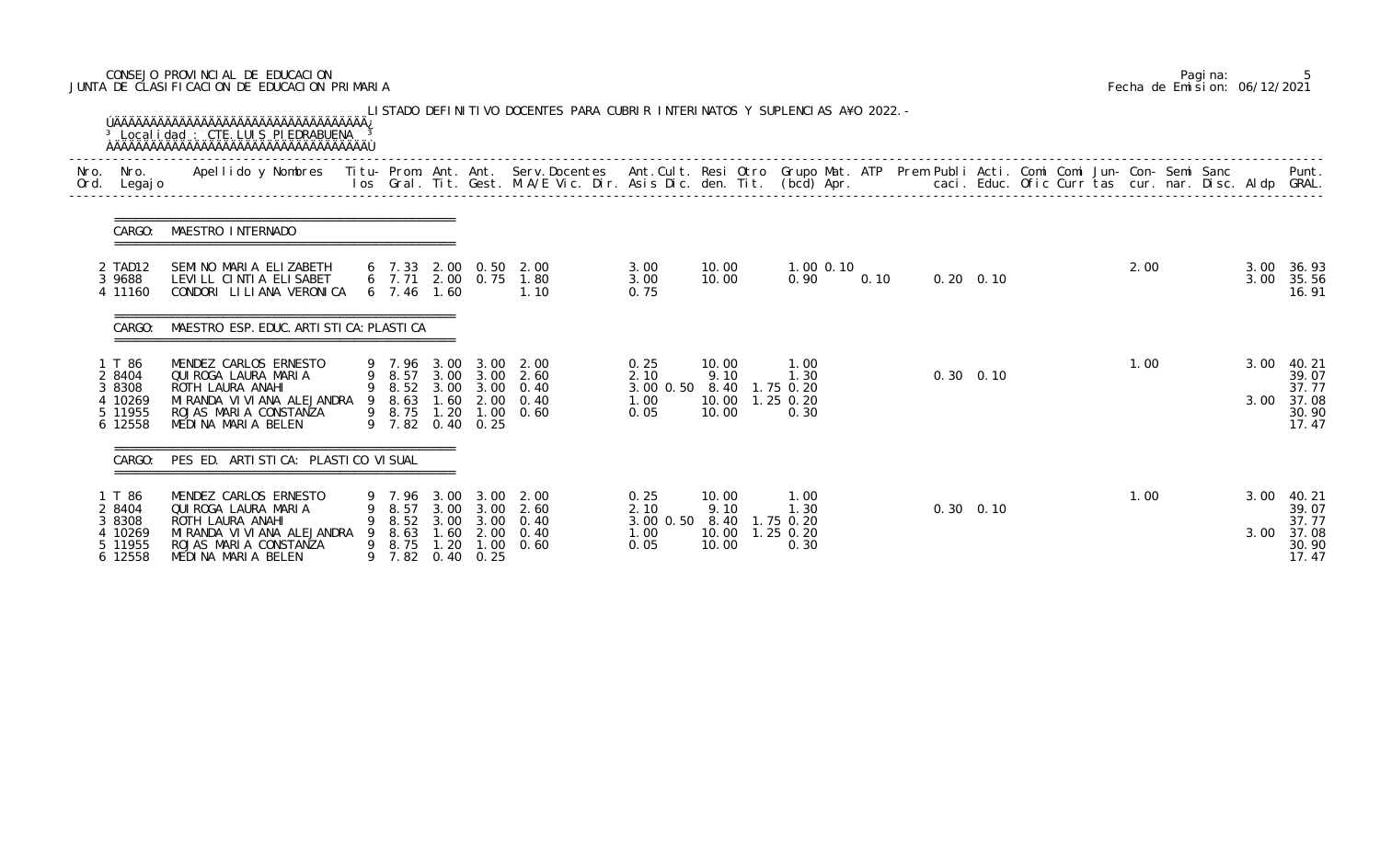# CONSEJO PROVINCIAL DE EDUCACION Pagina: 5 JUNTA DE CLASIFICACION DE EDUCACION PRIMARIA Fecha de Emision: 06/12/2021

| Nro.<br>Ord. | Nro.<br>Legaj o                                             | Apellido y Nombres - Titu- Prom. Ant. Ant. Serv.Docentes - Ant.Cult. Resi Otro Grupo Mat. ATP Prem Publi Acti. Comi Comi Jun- Con- Semi Sanc - - - - Punt.<br>Ios Gral. Tit. Gest. M.A/E Vic. Dir. Asis Dic. den. Tit. (bcd) Apr. |        |                                      |                                      |                                                          |                                                                                                   |                                           |                                                                         |                                                  |      |                   |  |      |  |              |                                                     |
|--------------|-------------------------------------------------------------|-----------------------------------------------------------------------------------------------------------------------------------------------------------------------------------------------------------------------------------|--------|--------------------------------------|--------------------------------------|----------------------------------------------------------|---------------------------------------------------------------------------------------------------|-------------------------------------------|-------------------------------------------------------------------------|--------------------------------------------------|------|-------------------|--|------|--|--------------|-----------------------------------------------------|
|              | CARGO:                                                      | MAESTRO INTERNADO                                                                                                                                                                                                                 |        |                                      |                                      |                                                          |                                                                                                   |                                           |                                                                         |                                                  |      |                   |  |      |  |              |                                                     |
|              | 2 TAD12<br>3 9688<br>4 11160                                | SEMINO MARIA ELIZABETH<br>LEVILL CINTIA ELISABET<br>CONDORI LILIANA VERONICA                                                                                                                                                      |        | 6, 7, 46                             | 1.60                                 |                                                          | 6 7.33 2.00 0.50 2.00<br>6 7.71 2.00 0.75 1.80<br>1.10                                            | 3.00<br>3.00<br>0.75                      | 10.00<br>10.00                                                          | 1.00 0.10<br>0.90                                | 0.10 | $0.20 \quad 0.10$ |  | 2.00 |  | 3.00         | 3.00 36.93<br>35.56<br>16.91                        |
|              | CARGO:                                                      | MAESTRO ESP. EDUC. ARTI STI CA: PLASTI CA                                                                                                                                                                                         |        |                                      |                                      |                                                          |                                                                                                   |                                           |                                                                         |                                                  |      |                   |  |      |  |              |                                                     |
|              | 1 T 86<br>2 8404<br>3 8308<br>4 10269<br>5 11955<br>6 12558 | MENDEZ CARLOS ERNESTO<br>QUI ROGA LAURA MARIA<br>ROTH LAURA ANAHI<br>MIRANDA VI VI ANA ALEJANDRA 9<br>ROJAS MARIA CONSTANZA<br>MEDINA MARIA BELEN                                                                                 |        | 9 7.96<br>8.63                       | 3.00                                 | 3.00<br>9 7.82 0.40 0.25                                 | 2.00<br>9 8.57 3.00 3.00 2.60<br>9 8.52 3.00 3.00 0.40<br>1.60 2.00 0.40<br>9 8.75 1.20 1.00 0.60 | 0.25<br>2.10<br>1.00<br>0.05              | 10.00<br>9.10<br>3.00 0.50 8.40 1.75 0.20<br>10.00  1.25  0.20<br>10.00 | 1.00<br>1.30<br>0.30                             |      | $0.30 \quad 0.10$ |  | 1.00 |  | 3.00<br>3.00 | 40. 21<br>39.07<br>37.77<br>37.08<br>30.90<br>17.47 |
|              | CARGO:                                                      | PES ED. ARTI STI CA: PLASTI CO VI SUAL                                                                                                                                                                                            |        |                                      |                                      |                                                          |                                                                                                   |                                           |                                                                         |                                                  |      |                   |  |      |  |              |                                                     |
|              | T 86<br>2 8404<br>3 8308<br>4 10269<br>5 11955<br>6 12558   | MENDEZ CARLOS ERNESTO<br>QUI ROGA LAURA MARIA<br>ROTH LAURA ANAHI<br>MI RANDA VI VI ANA ALEJANDRA<br>ROJAS MARIA CONSTANZA<br>MEDINA MARIA BELEN                                                                                  | 9<br>9 | 7.96<br>8.57<br>8.52<br>8.63<br>8.75 | 3.00<br>3.00<br>3.00<br>1.60<br>1.20 | 3.00<br>3.00<br>3.00<br>2.00<br>1.00<br>9 7.82 0.40 0.25 | 2.00<br>2.60<br>0.40<br>0.40<br>0.60                                                              | 0.25<br>2.10<br>3.00 0.50<br>1.00<br>0.05 | 10.00<br>9.10<br>8.40<br>10.00<br>10.00                                 | .00<br>l. 30<br>1.75 0.20<br>$1.25$ 0.20<br>0.30 |      | $0.30 \quad 0.10$ |  | 1.00 |  | 3.00<br>3.00 | 40.21<br>39.07<br>37.77<br>37.08<br>30.90<br>17.47  |

|  | Pagi na: |                              |
|--|----------|------------------------------|
|  |          | Fecha de Emision: 06/12/2021 |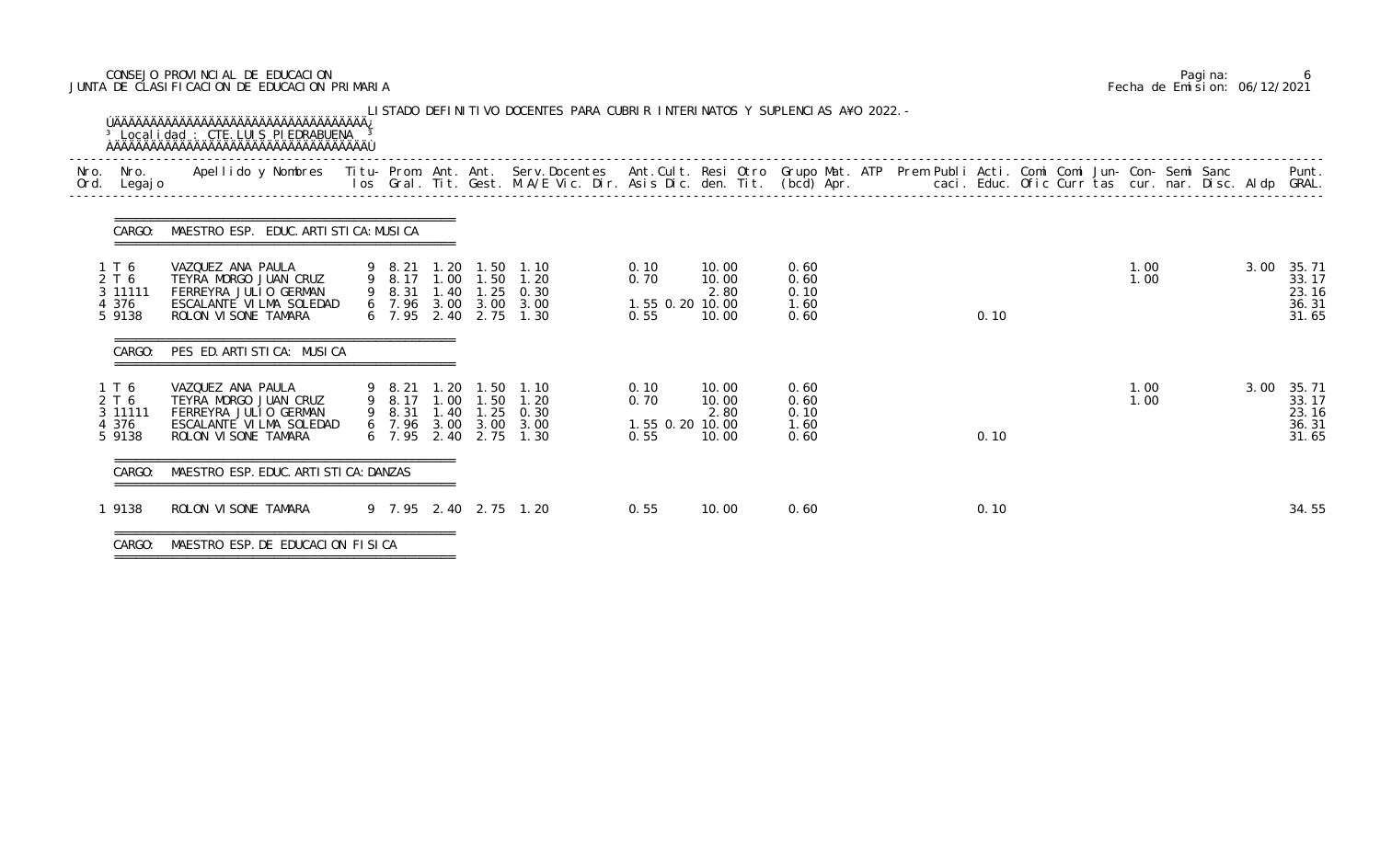# CONSEJO PROVINCIAL DE EDUCACION Pagina: 6 JUNTA DE CLASIFICACION DE EDUCACION PRIMARIA Fecha de Emision: 06/12/2021

| Nro.<br>Nro.<br>Ord. Legajo                  | Apellido y Nombres  Titu- Prom. Ant. Ant. Serv.Docentes  Ant.Cult. Resi Otro Grupo Mat. ATP Prem Publi Acti. Comi Comi Jun- Con- Semi Sanc           Punt.<br>Ios Gral. Tit. Gest. M.A/E Vic. Dir. Asis Dic. den. Tit. (bcd) Apr. |                  |      |                                                                                           |                           |                                         |                                 |                                      |      |              |      |                                                |
|----------------------------------------------|-----------------------------------------------------------------------------------------------------------------------------------------------------------------------------------------------------------------------------------|------------------|------|-------------------------------------------------------------------------------------------|---------------------------|-----------------------------------------|---------------------------------|--------------------------------------|------|--------------|------|------------------------------------------------|
| CARGO:                                       | MAESTRO ESP. EDUC. ARTI STI CA: MUSI CA                                                                                                                                                                                           |                  |      |                                                                                           |                           |                                         |                                 |                                      |      |              |      |                                                |
| 1 T 6<br>2 T 6<br>3 11111<br>4 376<br>5 9138 | VAZQUEZ ANA PAULA<br>TEYRA MORGO JUAN CRUZ<br>FERREYRA JULIO GERMAN<br>ESCALANTE VILMA SOLEDAD<br>ROLON VI SONE TAMARA                                                                                                            | 9 8.21           |      | 1.20 1.50 1.10<br>9 8.31 1.40 1.25 0.30<br>6 7.96 3.00 3.00 3.00<br>6 7.95 2.40 2.75 1.30 | 9 8.17 1.00 1.50 1.20     | 0.10<br>0.70<br>1.55 0.20 10.00<br>0.55 | 10.00<br>10.00<br>2.80<br>10.00 | 0.60<br>0.60<br>0.10<br>1.60<br>0.60 | 0.10 | 1.00<br>1.00 |      | 3.00 35.71<br>33.17<br>23.16<br>36.31<br>31.65 |
| CARGO:                                       | PES ED. ARTI STI CA: MUSI CA                                                                                                                                                                                                      |                  |      |                                                                                           |                           |                                         |                                 |                                      |      |              |      |                                                |
| 1 T 6<br>2 T 6<br>3 11111<br>4 376<br>5 9138 | VAZQUEZ ANA PAULA<br>TEYRA MORGO JUAN CRUZ<br>FERREYRA JULIO GERMAN<br>ESCALANTE VILMA SOLEDAD<br>ROLON VI SONE TAMARA                                                                                                            | 9 8.21<br>9 8.31 | 1.40 | 1.20 1.50 1.10<br>9 8.17 1.00 1.50 1.20<br>6 7.96 3.00 3.00 3.00<br>6 7.95 2.40 2.75      | $1.25 \quad 0.30$<br>1.30 | 0.10<br>0.70<br>1.55 0.20 10.00<br>0.55 | 10.00<br>10.00<br>2.80<br>10.00 | 0.60<br>0.60<br>0.10<br>1.60<br>0.60 | 0.10 | 1.00<br>1.00 | 3.00 | 35.71<br>33.17<br>23.16<br>36.31<br>31.65      |
| CARGO:                                       | MAESTRO ESP. EDUC. ARTI STI CA: DANZAS                                                                                                                                                                                            |                  |      |                                                                                           |                           |                                         |                                 |                                      |      |              |      |                                                |
| 1 9138                                       | ROLON VI SONE TAMARA                                                                                                                                                                                                              |                  |      | 9 7.95 2.40 2.75 1.20                                                                     |                           | 0.55                                    | 10.00                           | 0.60                                 | 0.10 |              |      | 34.55                                          |

===============================================

|  | Pagi na: |                              |
|--|----------|------------------------------|
|  |          | Fecha de Emision: 06/12/2021 |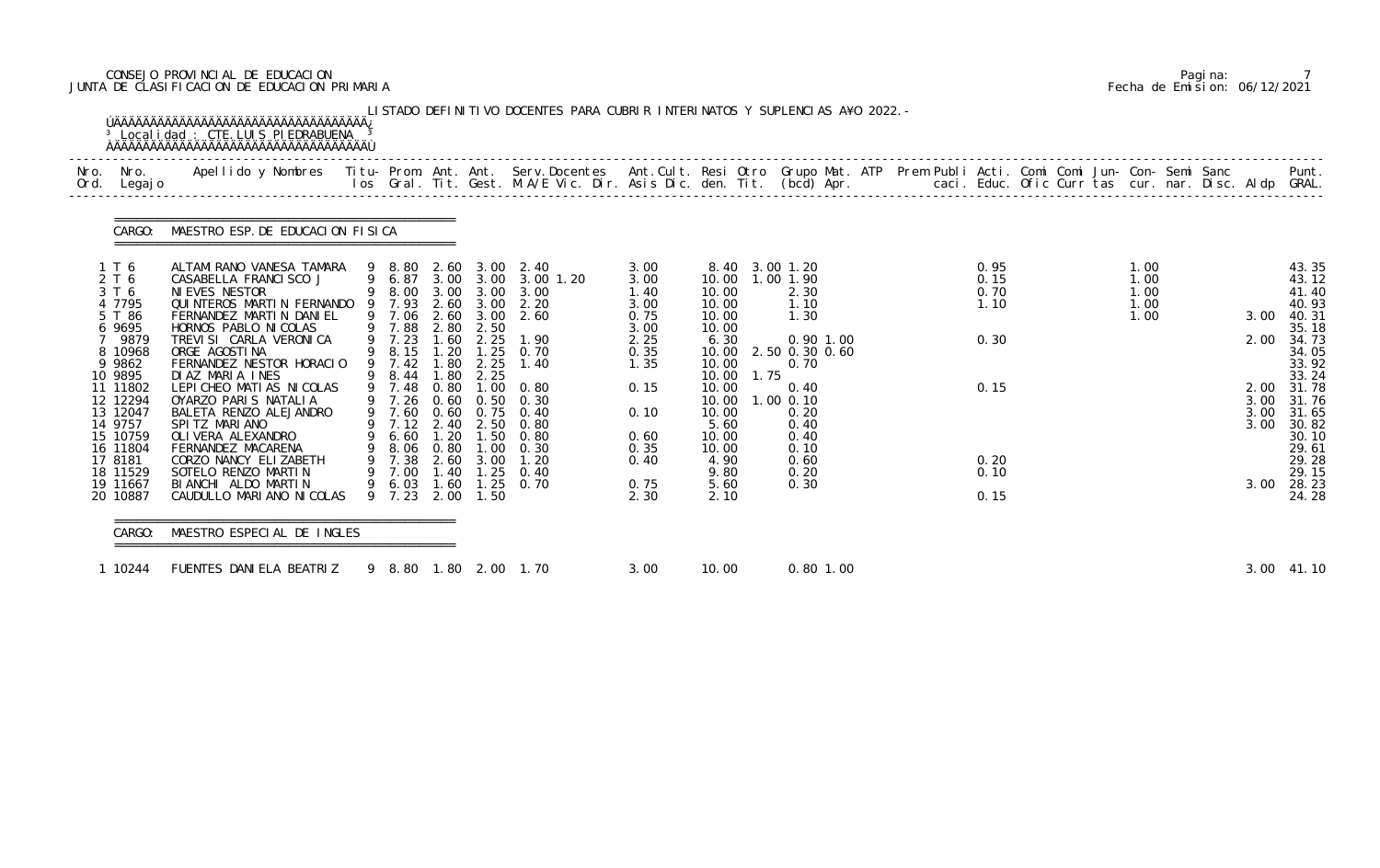# CONSEJO PROVINCIAL DE EDUCACION Pagina: 7 JUNTA DE CLASIFICACION DE EDUCACION PRIMARIA Fecha de Emision: 06/12/2021

| Nro. | Nro.<br>Ord. Legajo  | Apellido y Nombres  Titu- Prom. Ant. Ant. Serv.Docentes  Ant.Cult. Resi Otro Grupo Mat. ATP Prem Publi Acti. Comi Comi Jun- Con- Semi Sanc         Punt.<br>Ios Gral. Tit. Gest. M.A/E Vic. Dir. Asis Dic. den. Tit. (bcd) Apr. |                          |      |               |                                                     |              |                |      |                   |  |              |  |              |  |      |                |
|------|----------------------|---------------------------------------------------------------------------------------------------------------------------------------------------------------------------------------------------------------------------------|--------------------------|------|---------------|-----------------------------------------------------|--------------|----------------|------|-------------------|--|--------------|--|--------------|--|------|----------------|
|      | CARGO:               | MAESTRO ESP. DE EDUCACION FISICA                                                                                                                                                                                                |                          |      |               |                                                     |              |                |      |                   |  |              |  |              |  |      |                |
|      | 1 T 6                | ALTAMI RANO VANESA TAMARA                                                                                                                                                                                                       |                          |      |               | 9 8.80 2.60 3.00 2.40                               | 3.00         |                |      | 8.40 3.00 1.20    |  | 0.95         |  | 1.00         |  |      | 43.35          |
|      | 2 T 6<br>3 T 6       | CASABELLA FRANCISCO J<br>NI EVES NESTOR                                                                                                                                                                                         |                          |      |               | 9 6.87 3.00 3.00 3.00 1.20<br>9 8.00 3.00 3.00 3.00 | 3.00         | 10.00<br>10.00 |      | 1.00 1.90<br>2.30 |  | 0.15<br>0.70 |  | 1.00<br>1.00 |  |      | 43.12          |
|      | 4 7795               | QUINTEROS MARTIN FERNANDO 9 7.93                                                                                                                                                                                                |                          |      |               | 2.60 3.00 2.20                                      | 1.40<br>3.00 | 10.00          |      | 1.10              |  | 1.10         |  | 1.00         |  |      | 41.40<br>40.93 |
|      | 5 T 86               | FERNANDEZ MARTIN DANIEL                                                                                                                                                                                                         |                          |      |               | 9 7.06 2.60 3.00 2.60                               | 0.75         | 10.00          |      | 1.30              |  |              |  | 1.00         |  | 3.00 | 40.31          |
|      | 6 9695               | HORNOS PABLO NI COLAS                                                                                                                                                                                                           | 9 7.88                   | 2.80 | 2.50          |                                                     | 3.00         | 10.00          |      |                   |  |              |  |              |  |      | 35.18          |
|      | 9879                 | TREVISI CARLA VERONICA                                                                                                                                                                                                          | 9 7.23                   | 1.60 | 2.25          | 1.90                                                | 2.25         | 6.30           |      | $0.90$ 1.00       |  | 0.30         |  |              |  | 2.00 | 34.73          |
|      | 8 10968              | ORGE AGOSTINA                                                                                                                                                                                                                   | $9$ $8.15$<br>$9$ $7.42$ | 1.80 | $1.20$ $1.25$ | 0.70                                                | 0.35         | 10.00          |      | 2.50 0.30 0.60    |  |              |  |              |  |      | 34.05          |
|      | 9 9862<br>10 9895    | FERNANDEZ NESTOR HORACIO<br>DIAZ MARIA INES                                                                                                                                                                                     | 9 8.44                   | 1.80 | 2.25<br>2.25  | 1.40                                                | 1.35         | 10.00<br>10.00 | 1.75 | 0.70              |  |              |  |              |  |      | 33.92<br>33.24 |
|      | 11 11802             | LEPICHEO MATIAS NICOLAS                                                                                                                                                                                                         | 9 7.48                   | 0.80 |               | $1.00 \quad 0.80$                                   | 0.15         | 10.00          |      | 0.40              |  | 0.15         |  |              |  | 2.00 | 31.78          |
|      | 12 12294             | OYARZO PARIS NATALIA                                                                                                                                                                                                            | 9 7.26                   |      |               | $0.60$ $0.50$ $0.30$                                |              | 10.00          |      | 1.00 0.10         |  |              |  |              |  | 3.00 | 31.76          |
|      | 13 12047             | BALETA RENZO ALEJANDRO                                                                                                                                                                                                          | 9 7.60                   |      |               | 0.60 0.75 0.40                                      | 0.10         | 10.00          |      | 0.20              |  |              |  |              |  | 3.00 | 31.65          |
|      | 14 9757              | SPITZ MARIANO                                                                                                                                                                                                                   |                          |      |               | 9 7.12 2.40 2.50 0.80                               |              | 5.60           |      | 0.40              |  |              |  |              |  | 3.00 | 30.82          |
|      | 15 10759<br>16 11804 | OLI VERA ALEXANDRO<br>FERNANDEZ MACARENA                                                                                                                                                                                        | 9 6.60<br>9 8.06 0.80    | 1.20 | 1.50          | 0.80<br>$1.00 \quad 0.30$                           | 0.60<br>0.35 | 10.00<br>10.00 |      | 0.40<br>0.10      |  |              |  |              |  |      | 30.10<br>29.61 |
|      | 17 8181              | CORZO NANCY ELIZABETH                                                                                                                                                                                                           | 9 7.38                   |      |               | 2.60 3.00 1.20                                      | 0.40         | 4.90           |      | 0.60              |  | 0.20         |  |              |  |      | 29.28          |
|      | 18 11529             | SOTELO RENZO MARTIN                                                                                                                                                                                                             | 9 7.00                   |      | $1.40$ $1.25$ | 0.40                                                |              | 9.80           |      | 0.20              |  | 0.10         |  |              |  |      | 29.15          |
|      | 19 11667             | BIANCHI ALDO MARTIN                                                                                                                                                                                                             | 9 6.03                   | 1.60 | 1.25          | 0.70                                                | 0.75         | 5.60           |      | 0.30              |  |              |  |              |  | 3.00 | 28.23          |
|      |                      | 20 10887 CAUDULLO MARIANO NICOLAS 9 7.23 2.00 1.50                                                                                                                                                                              |                          |      |               |                                                     | 2.30         | 2.10           |      |                   |  | 0.15         |  |              |  |      | 24.28          |

|  | Pagi na: |                              |
|--|----------|------------------------------|
|  |          | Fecha de Emision: 06/12/2021 |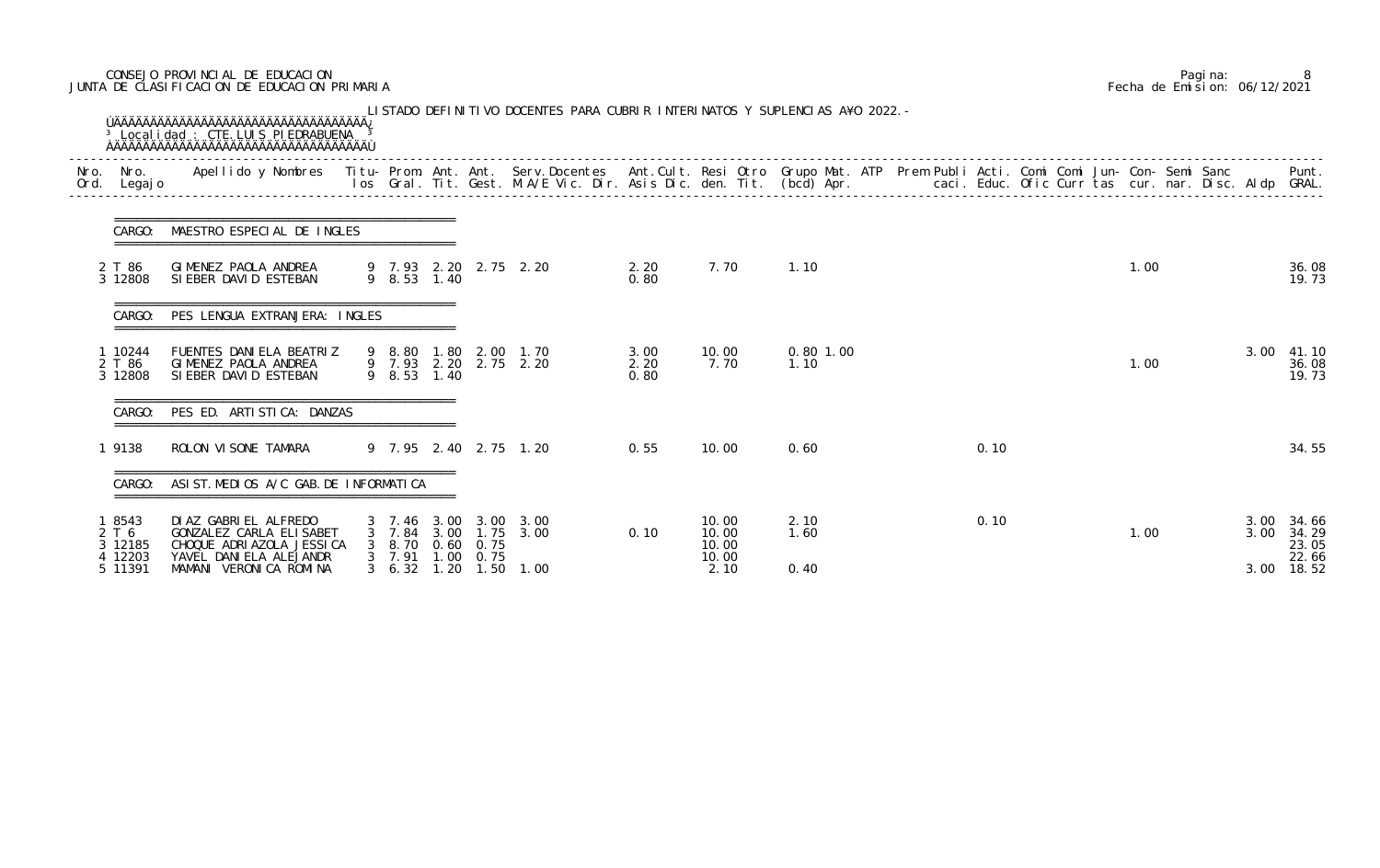# CONSEJO PROVINCIAL DE EDUCACION Pagina: 8 JUNTA DE CLASIFICACION DE EDUCACION PRIMARIA Fecha de Emision: 06/12/2021

| Legaj o                      |                                                                               |                             |                          |                             |                                                |                      |                         |                     |  |      |  |      |  |              | Punt.                   |
|------------------------------|-------------------------------------------------------------------------------|-----------------------------|--------------------------|-----------------------------|------------------------------------------------|----------------------|-------------------------|---------------------|--|------|--|------|--|--------------|-------------------------|
| CARGO:                       | MAESTRO ESPECIAL DE INGLES                                                    |                             |                          |                             |                                                |                      |                         |                     |  |      |  |      |  |              |                         |
| 2 T 86<br>3 12808            | GIMENEZ PAOLA ANDREA<br>SIEBER DAVID ESTEBAN                                  |                             |                          |                             | 9 7.93 2.20 2.75 2.20<br>9 8.53 1.40           | 2.20<br>0.80         | 7.70                    | 1.10                |  |      |  | 1.00 |  |              | 36.08<br>19.73          |
| CARGO:                       | PES LENGUA EXTRANJERA: INGLES                                                 |                             |                          |                             |                                                |                      |                         |                     |  |      |  |      |  |              |                         |
| 1 10244<br>2 T 86<br>3 12808 | FUENTES DANIELA BEATRIZ<br>GIMENEZ PAOLA ANDREA<br>SIEBER DAVID ESTEBAN       | 9 8.53 1.40                 |                          |                             | 9 8.80 1.80 2.00 1.70<br>9 7.93 2.20 2.75 2.20 | 3.00<br>2.20<br>0.80 | 10.00<br>7.70           | $0.80$ 1.00<br>1.10 |  |      |  | 1.00 |  | 3.00         | 41.10<br>36.08<br>19.73 |
| CARGO:                       | PES ED. ARTISTICA: DANZAS                                                     |                             |                          |                             |                                                |                      |                         |                     |  |      |  |      |  |              |                         |
| 1 9138                       | ROLON VI SONE TAMARA                                                          |                             |                          |                             | 9 7.95 2.40 2.75 1.20                          | 0.55                 | 10.00                   | 0.60                |  | 0.10 |  |      |  |              | 34.55                   |
|                              | CARGO: ASIST. MEDIOS A/C GAB. DE INFORMATICA                                  |                             |                          |                             |                                                |                      |                         |                     |  |      |  |      |  |              |                         |
| 1 8543<br>2 T 6<br>3 12185   | DI AZ GABRI EL ALFREDO<br>GONZALEZ CARLA ELISABET<br>CHOQUE ADRIAZOLA JESSICA | 3 7.46 3.00<br>7.84<br>8.70 | 3.00                     | 3.00<br>1.75<br>$0.60$ 0.75 | 3.00<br>3.00                                   | 0.10                 | 10.00<br>10.00<br>10.00 | 2.10<br>1.60        |  | 0.10 |  | 1.00 |  | 3.00<br>3.00 | 34.66<br>34.29<br>23.05 |
| 4 12203<br>5 11391           | YAVEL DANI ELA ALEJANDR<br>MAMANI VERONICA ROMINA                             | 7.91<br>$3\quad 6.32$       | .00 <sub>1</sub><br>1.20 | 0.75<br>1.50                | 1.00                                           |                      | 10.00<br>2.10           | 0.40                |  |      |  |      |  | 3.00         | 22.66<br>18.52          |

|  | Pagi na: |                              |
|--|----------|------------------------------|
|  |          | Fecha de Emision: 06/12/2021 |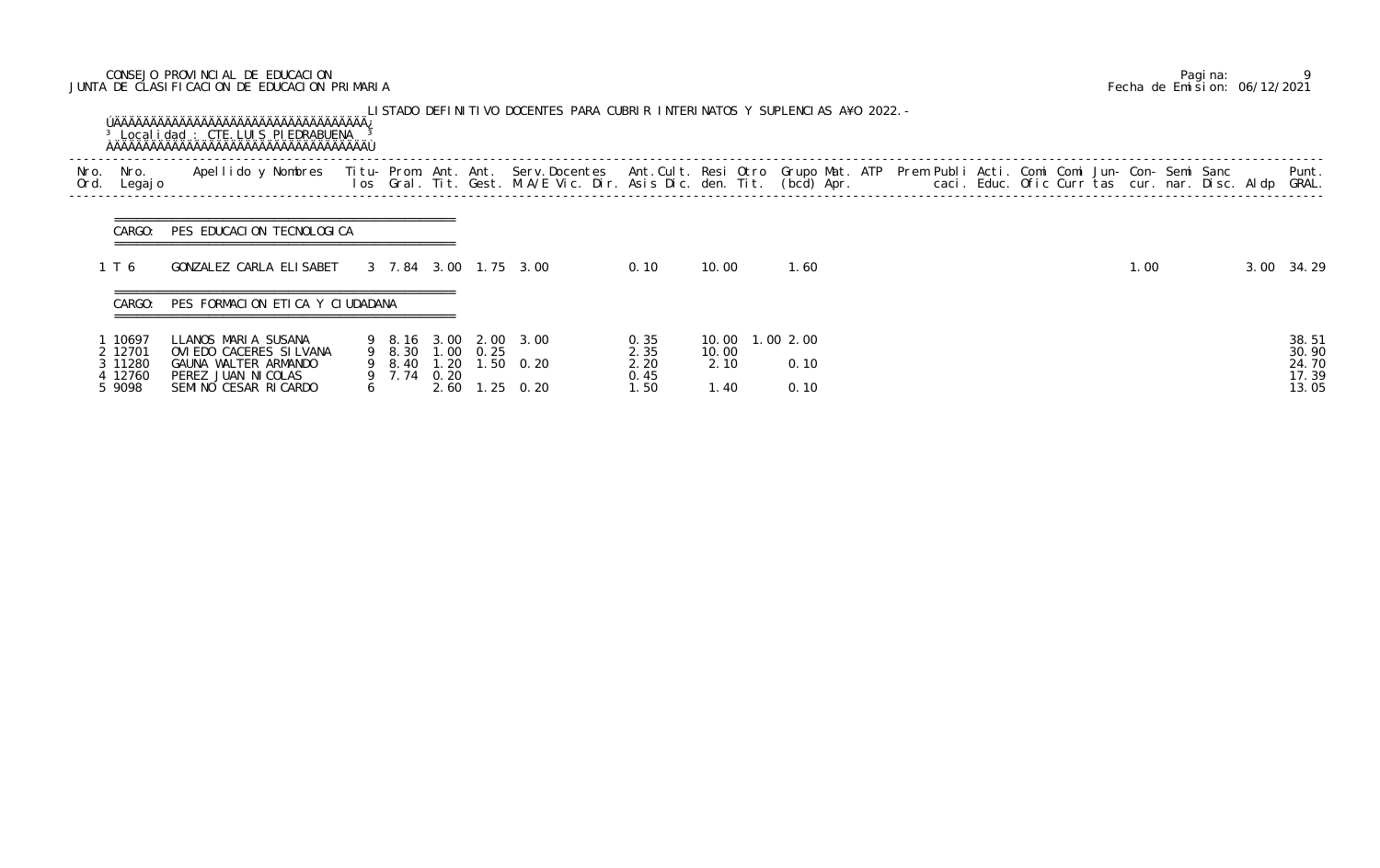# CONSEJO PROVINCIAL DE EDUCACION Pagina: 9 JUNTA DE CLASIFICACION DE EDUCACION PRIMARIA Fecha de Emision: 06/12/2021

|              |                                                  |                                                                                                                                                                                                                                |   |                                 |      | LISTADO DEFINITIVO DOCENTES PARA CUBRIR INTERINATOS Y SUPLENCIAS A¥O 2022. - |                                      |                       |                                   |  |  |  |      |  |                                           |
|--------------|--------------------------------------------------|--------------------------------------------------------------------------------------------------------------------------------------------------------------------------------------------------------------------------------|---|---------------------------------|------|------------------------------------------------------------------------------|--------------------------------------|-----------------------|-----------------------------------|--|--|--|------|--|-------------------------------------------|
| Nro.<br>Ord. | Nro.<br>Legaj o                                  | Apellido y Nombres - Titu- Prom. Ant. Ant. Serv.Docentes - Ant.Cult. Resi Otro Grupo Mat. ATP - Prem Publi Acti. Comi Comi Jun- Con- Semi Sanc - Sanc - Semi Sanc - Ios - Gral. Tit. Gest. M.A/E Vic. Dir. Asis Dic. den. Tit. |   |                                 |      |                                                                              |                                      |                       |                                   |  |  |  |      |  | Punt.<br>GRAL.                            |
|              | CARGO:                                           | PES EDUCACION TECNOLOGICA                                                                                                                                                                                                      |   |                                 |      |                                                                              |                                      |                       |                                   |  |  |  |      |  |                                           |
|              | 1 T 6                                            | GONZALEZ CARLA ELISABET                                                                                                                                                                                                        |   |                                 |      | 3 7.84 3.00 1.75 3.00                                                        | 0.10                                 | 10.00                 | 1.60                              |  |  |  | 1.00 |  | 3.00 34.29                                |
|              | CARGO:                                           | PES FORMACION ETICA Y CIUDADANA                                                                                                                                                                                                |   |                                 |      |                                                                              |                                      |                       |                                   |  |  |  |      |  |                                           |
|              | 10697<br>2 12701<br>3 11280<br>4 12760<br>5 9098 | LLANOS MARIA SUSANA<br>OVI EDO CACERES SI LVANA<br>GAUNA WALTER ARMANDO<br>PEREZ JUAN NICOLAS<br>SEMINO CESAR RICARDO                                                                                                          | 6 | 9 8.30 1.00 0.25<br>9 7.74 0.20 | 2.60 | 9 8.16 3.00 2.00 3.00<br>9 8.40 1.20 1.50 0.20<br>$.25 \quad 0.20$           | 0.35<br>2.35<br>2.20<br>0.45<br>1.50 | 10.00<br>2.10<br>1.40 | 10.00  1.00  2.00<br>0.10<br>0.10 |  |  |  |      |  | 38.51<br>30.90<br>24.70<br>17.39<br>13.05 |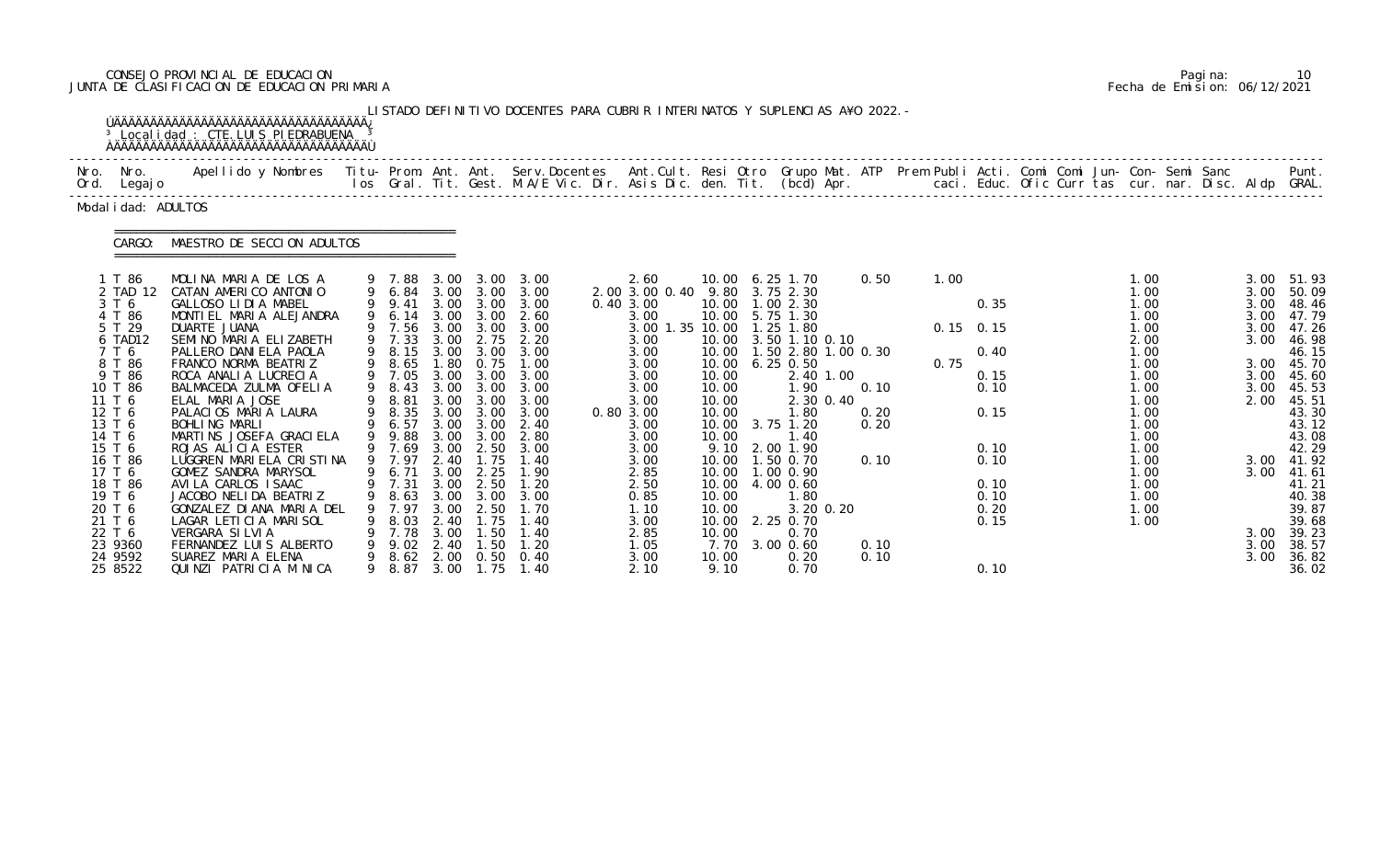# CONSEJO PROVINCIAL DE EDUCACION Pagina: 10 JUNTA DE CLASIFICACION DE EDUCACION PRIMARIA Fecha de Emision: 06/12/2021

|      |                                                                                                                                                      | <sup>3</sup> Local i dad : CTE. LUIS PI EDRABUENA                                                                                                                                                                                                                                                                                                                  |   |                                                                                                                                              |                                                                                                      |                                                                                                                        | LISTADO DEFINITIVO DOCENTES PARA CUBRIR INTERINATOS Y SUPLENCIAS A¥O 2022. -                                              |                                                                                                                                                     |                                                                                               |                                                                                                                                                                                                                        |                              |              |                                                             |  |                                                                                                                      |  |                                                                              |                                                                                                                                     |
|------|------------------------------------------------------------------------------------------------------------------------------------------------------|--------------------------------------------------------------------------------------------------------------------------------------------------------------------------------------------------------------------------------------------------------------------------------------------------------------------------------------------------------------------|---|----------------------------------------------------------------------------------------------------------------------------------------------|------------------------------------------------------------------------------------------------------|------------------------------------------------------------------------------------------------------------------------|---------------------------------------------------------------------------------------------------------------------------|-----------------------------------------------------------------------------------------------------------------------------------------------------|-----------------------------------------------------------------------------------------------|------------------------------------------------------------------------------------------------------------------------------------------------------------------------------------------------------------------------|------------------------------|--------------|-------------------------------------------------------------|--|----------------------------------------------------------------------------------------------------------------------|--|------------------------------------------------------------------------------|-------------------------------------------------------------------------------------------------------------------------------------|
| Nro. | Nro.<br>Ord. Legajo                                                                                                                                  | Apellido y Nombres  Titu- Prom. Ant. Ant.  Serv.Docentes  Ant.Cult. Resi Otro  Grupo Mat. ATP  Prem Publi Acti. Comi Comi Jun- Con- Semi Sanc              Punt.<br>Ios Gral. Tit. Gest. M.A/E Vic. Dir. Asis Dic. den. Tit. (bcd                                                                                                                                  |   |                                                                                                                                              |                                                                                                      |                                                                                                                        |                                                                                                                           |                                                                                                                                                     |                                                                                               |                                                                                                                                                                                                                        |                              |              |                                                             |  |                                                                                                                      |  |                                                                              |                                                                                                                                     |
|      | Modal i dad: ADULTOS                                                                                                                                 |                                                                                                                                                                                                                                                                                                                                                                    |   |                                                                                                                                              |                                                                                                      |                                                                                                                        |                                                                                                                           |                                                                                                                                                     |                                                                                               |                                                                                                                                                                                                                        |                              |              |                                                             |  |                                                                                                                      |  |                                                                              |                                                                                                                                     |
|      | CARGO:                                                                                                                                               | MAESTRO DE SECCION ADULTOS                                                                                                                                                                                                                                                                                                                                         |   |                                                                                                                                              |                                                                                                      |                                                                                                                        |                                                                                                                           |                                                                                                                                                     |                                                                                               |                                                                                                                                                                                                                        |                              |              |                                                             |  |                                                                                                                      |  |                                                                              |                                                                                                                                     |
|      | 1 T 86<br>2 TAD 12<br>3 T 6<br>4 T 86<br>5 T 29<br>6 TAD12<br>7 T 6<br>8 T 86<br>9 T 86<br>10 T 86<br>11 T 6<br>12 T 6<br>13 T 6<br>14 T 6<br>15 T 6 | MOLINA MARIA DE LOS A<br>CATAN AMERICO ANTONIO<br>GALLOSO LIDIA MABEL<br>MONTIEL MARIA ALEJANDRA<br>DUARTE JUANA<br>SEMINO MARIA ELIZABETH<br>PALLERO DANI ELA PAOLA<br>FRANCO NORMA BEATRIZ<br>ROCA ANALIA LUCRECIA<br>BALMACEDA ZULMA OFELIA<br>ELAL MARIA JOSE<br>PALACIOS MARIA LAURA<br><b>BOHLING MARLI</b><br>MARTINS JOSEFA GRACIELA<br>ROJAS ALICIA ESTER | 9 | 9 7.88<br>9 6.84<br>9 9.41<br>9 6.14<br>9 7.56<br>9 7.33<br>9 8.15<br>8.65<br>9 7.05<br>9 8.43<br>8.81<br>9 8.35<br>9 6.57<br>9.88<br>9 7.69 | 3.00<br>3.00<br>3.00<br>3.00<br>3.00<br>1.80<br>3.00<br>3.00<br>3.00<br>3.00<br>3.00<br>3.00<br>3.00 | 3.00<br>3.00<br>3.00 3.00<br>3.00 3.00<br>3.00<br>2.75<br>3.00<br>0.75<br>3.00<br>3.00<br>3.00<br>3.00<br>3.00<br>3.00 | 3.00<br>3.00<br>3.00<br>2.60<br>3.00<br>2.20<br>3.00<br>1.00<br>3.00<br>3.00<br>3.00<br>3.00<br>2.40<br>2.80<br>2.50 3.00 | 2.60<br>2.00 3.00 0.40<br>0.40 3.00<br>3.00<br>3.00 1.35 10.00<br>3.00<br>3.00<br>3.00<br>3.00<br>3.00<br>3.00<br>0.80 3.00<br>3.00<br>3.00<br>3.00 | 9.80<br>10.00<br>10.00<br>10.00<br>10.00<br>10.00<br>10.00<br>10.00<br>10.00<br>10.00<br>9.10 | 10.00 6.25 1.70<br>3.75 2.30<br>1.002.30<br>10.00 5.75 1.30<br>1.25 1.80<br>3.50 1.10 0.10<br>10.00  1.50  2.80  1.00  0.30<br>$6.25$ 0.50<br>2.40 1.00<br>1.90<br>2.30 0.40<br>1.80<br>3.75 1.20<br>1.40<br>2.00 1.90 | 0.50<br>0.10<br>0.20<br>0.20 | 1.00<br>0.75 | 0.35<br>$0.15$ 0.15<br>0.40<br>0.15<br>0.10<br>0.15<br>0.10 |  | 1.00<br>1.00<br>1.00<br>1.00<br>1.00<br>2.00<br>1.00<br>1.00<br>1.00<br>1.00<br>1.00<br>1.00<br>1.00<br>1.00<br>1.00 |  | 3.00<br>3.00<br>3.00<br>3.00<br>3.00<br>3.00<br>3.00<br>3.00<br>3.00<br>2.00 | 51.93<br>50.09<br>48.46<br>47.79<br>47.26<br>46.98<br>46.15<br>45.70<br>45.60<br>45.53<br>45.51<br>43.30<br>43.12<br>43.08<br>42.29 |
|      | 16 T 86<br>17 T 6<br>18 T 86<br>19 T 6<br>20 T 6<br>21 T 6<br>22 T 6<br>23 9360<br>24 9592<br>25 8522                                                | LUGGREN MARIELA CRISTINA<br>GOMEZ SANDRA MARYSOL<br>AVI LA CARLOS I SAAC<br>JACOBO NELIDA BEATRIZ<br>GONZALEZ DI ANA MARIA DEL<br>LAGAR LETICIA MARISOL<br>VERGARA SILVIA<br>FERNANDEZ LUIS ALBERTO<br>SUAREZ MARIA ELENA<br>QUINZI PATRICIA M NICA                                                                                                                | 9 | 9 7.97<br>9 6.71<br>9 7.31<br>8.63<br>7.97<br>8.03<br>7.78<br>9.02<br>8.62<br>9 8.87                                                         | 2.40<br>3.00<br>3.00<br>3.00<br>2.40<br>3.00<br>2.40<br>2.00<br>3.00                                 | 1.75<br>2.25<br>$3.00 \quad 2.50$<br>3.00<br>2.50<br>l. 75<br>1.50<br>1.50<br>0.50<br>1.75                             | 1.40<br>1.90<br>1.20<br>3.00<br>1.70<br>1.40<br>1.40<br>1.20<br>0.40<br>1.40                                              | 3.00<br>2.85<br>2.50<br>0.85<br>1. 10<br>3.00<br>2.85<br>1. 05<br>3.00<br>2.10                                                                      | 10.00<br>10.00<br>10.00<br>10.00<br>7.70<br>10.00<br>9.10                                     | 10.00  1.50  0.70<br>10.00  1.00  0.90<br>10.00 4.00 0.60<br>1.80<br>3.20 0.20<br>2.25 0.70<br>0.70<br>3.00 0.60<br>0.20<br>0.70                                                                                       | 0.10<br>0.10<br>0.10         |              | 0.10<br>0.10<br>0.10<br>0.20<br>0.15<br>0.10                |  | 1.00<br>1.00<br>1.00<br>1.00<br>1.00<br>1.00                                                                         |  | 3.00<br>3.00<br>3.00<br>3.00<br>3.00                                         | 41.92<br>41.61<br>41.21<br>40.38<br>39.87<br>39.68<br>39.23<br>38.57<br>36.82<br>36.02                                              |

|  | Pagi na: |                              |
|--|----------|------------------------------|
|  |          | Fecha de Emision: 06/12/2021 |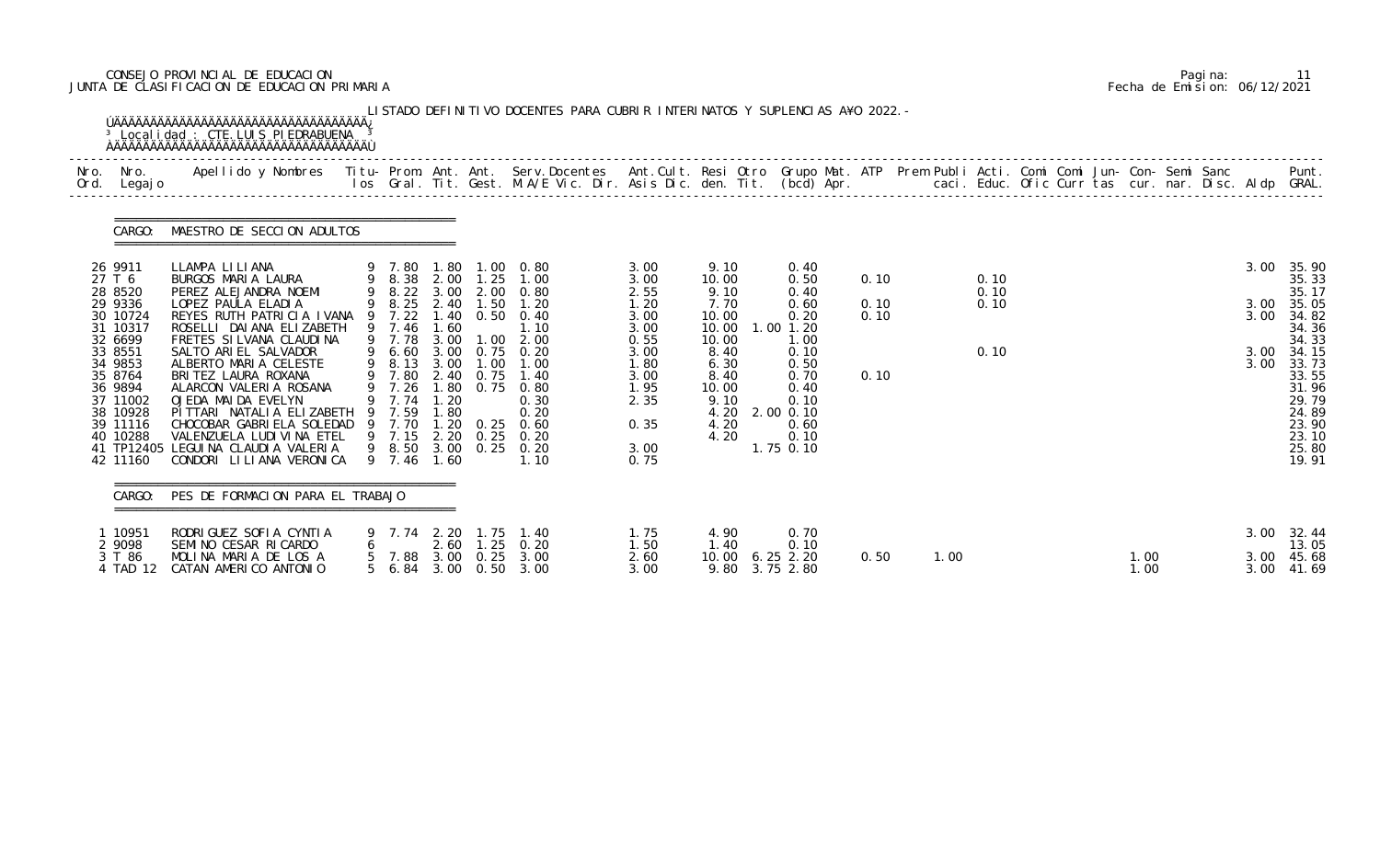# CONSEJO PROVINCIAL DE EDUCACION Pagina: 11 JUNTA DE CLASIFICACION DE EDUCACION PRIMARIA Fecha de Emision: 06/12/2021

| Nro. Nro.<br>Ord. Legajo                                         | Apellido y Nombres - Titu- Prom. Ant. Ant. Serv.Docentes - Ant.Cult. Resi Otro Grupo Mat. ATP Prem Publi Acti. Comi Comi Jun- Con- Semi Sanc - - - Punt.<br>Ios Gral. Tit. Gest. M.A/E Vic. Dir. Asis Dic. den. Tit. (bcd) Apr. - |                                                     |              |                        |                                                                  |                                      |                                                         |                                       |              |      |              |  |              |              |                                                    |
|------------------------------------------------------------------|-----------------------------------------------------------------------------------------------------------------------------------------------------------------------------------------------------------------------------------|-----------------------------------------------------|--------------|------------------------|------------------------------------------------------------------|--------------------------------------|---------------------------------------------------------|---------------------------------------|--------------|------|--------------|--|--------------|--------------|----------------------------------------------------|
| CARGO:                                                           | MAESTRO DE SECCION ADULTOS                                                                                                                                                                                                        |                                                     |              |                        |                                                                  |                                      |                                                         |                                       |              |      |              |  |              |              |                                                    |
| 26 9911<br>27 T 6<br>28 8520                                     | LLAMPA LILIANA<br>BURGOS MARIA LAURA<br>PEREZ ALEJANDRA NOEMI                                                                                                                                                                     | 9 7.80                                              |              |                        | 1.80 1.00 0.80<br>9 8.38 2.00 1.25 1.00<br>9 8.22 3.00 2.00 0.80 | 3.00<br>3.00<br>2.55                 | 9.10<br>10.00<br>9.10                                   | 0.40<br>0.50<br>0.40                  | 0.10         |      | 0.10<br>0.10 |  |              | 3.00         | 35.90<br>35.33<br>35.17                            |
| 29 9336<br>30 10724<br>31 10317<br>32 6699                       | LOPEZ PAULA ELADIA<br>REYES RUTH PATRICIA IVANA<br>ROSELLI DAI ANA ELIZABETH<br>FRETES SI LVANA CLAUDINA                                                                                                                          | 9 7.22<br>9 7.46<br>9 7.78 3.00                     | 1.60         |                        | 9 8.25 2.40 1.50 1.20<br>1.40 0.50 0.40<br>1.10<br>$1.00$ $2.00$ | 1.20<br>3.00<br>3.00<br>0.55         | 7.70<br>10.00<br>10.00<br>10.00                         | 0.60<br>0.20<br>$1.00$ $1.20$<br>1.00 | 0.10<br>0.10 |      | 0.10         |  |              | 3.00<br>3.00 | 35.05<br>34.82<br>34.36<br>34.33                   |
| 33 8551<br>34 9853<br>35 8764<br>36 9894<br>37 11002<br>38 10928 | SALTO ARIEL SALVADOR<br>ALBERTO MARIA CELESTE<br>BRITEZ LAURA ROXANA<br>ALARCON VALERIA ROSANA<br>OJEDA MAIDA EVELYN<br>PITTARI NATALIA ELIZABETH 9 7.59                                                                          | 9 6.60<br>9 8.13 3.00<br>9 7.80<br>9 7.26<br>9 7.74 | 1.20<br>1.80 | 1.00<br>2.40 0.75      | 3.00 0.75 0.20<br>1.00<br>1.40<br>1.80 0.75 0.80<br>0.30<br>0.20 | 3.00<br>1.80<br>3.00<br>1.95<br>2.35 | 8.40<br>6.30<br>8.40<br>10.00<br>9.10<br>4.20 2.00 0.10 | 0.10<br>0.50<br>0.70<br>0.40<br>0.10  | 0.10         |      | 0.10         |  |              | 3.00<br>3.00 | 34.15<br>33.73<br>33.55<br>31.96<br>29.79<br>24.89 |
| 39 11116<br>40 10288<br>42 11160                                 | CHOCOBAR GABRIELA SOLEDAD 9 7.70<br>VALENZUELA LUDI VI NA ETEL<br>41 TP12405 LEGUINA CLAUDIA VALERIA<br>CONDORI LILIANA VERONICA                                                                                                  | 9 7.15 2.20<br>9 7.46                               | 1.60         | $1.20 \t 0.25$<br>0.25 | 0.60<br>0.20<br>9 8.50 3.00 0.25 0.20<br>1.10                    | 0.35<br>3.00<br>0.75                 | 4.20<br>4.20                                            | 0.60<br>0.10<br>1.75 0.10             |              |      |              |  |              |              | 23.90<br>23.10<br>25.80<br>19.91                   |
|                                                                  | CARGO: PES DE FORMACION PARA EL TRABAJO                                                                                                                                                                                           |                                                     |              |                        |                                                                  |                                      |                                                         |                                       |              |      |              |  |              |              |                                                    |
| 1 10951<br>2 9098                                                | RODRIGUEZ SOFIA CYNTIA<br>SEMINO CESAR RICARDO                                                                                                                                                                                    |                                                     | 2.60         |                        | 9 7.74 2.20 1.75 1.40<br>$1.25 \quad 0.20$                       | 1.75<br>1.50                         | 4.90<br>1.40                                            | 0.70<br>0.10                          |              |      |              |  |              |              | 3.00 32.44<br>13.05                                |
| 3 T 86<br>4 TAD 12                                               | MOLINA MARIA DE LOS A<br>CATAN AMERICO ANTONIO                                                                                                                                                                                    |                                                     |              |                        | 5 7.88 3.00 0.25 3.00<br>5 6.84 3.00 0.50 3.00                   | 2.60<br>3.00                         | 10.00 6.25 2.20<br>9.80 3.75 2.80                       |                                       | 0.50         | 1.00 |              |  | 1.00<br>1.00 |              | 3.00 45.68<br>3.00 41.69                           |

|  | Pagi na: | 11                           |
|--|----------|------------------------------|
|  |          | Fecha de Emision: 06/12/2021 |